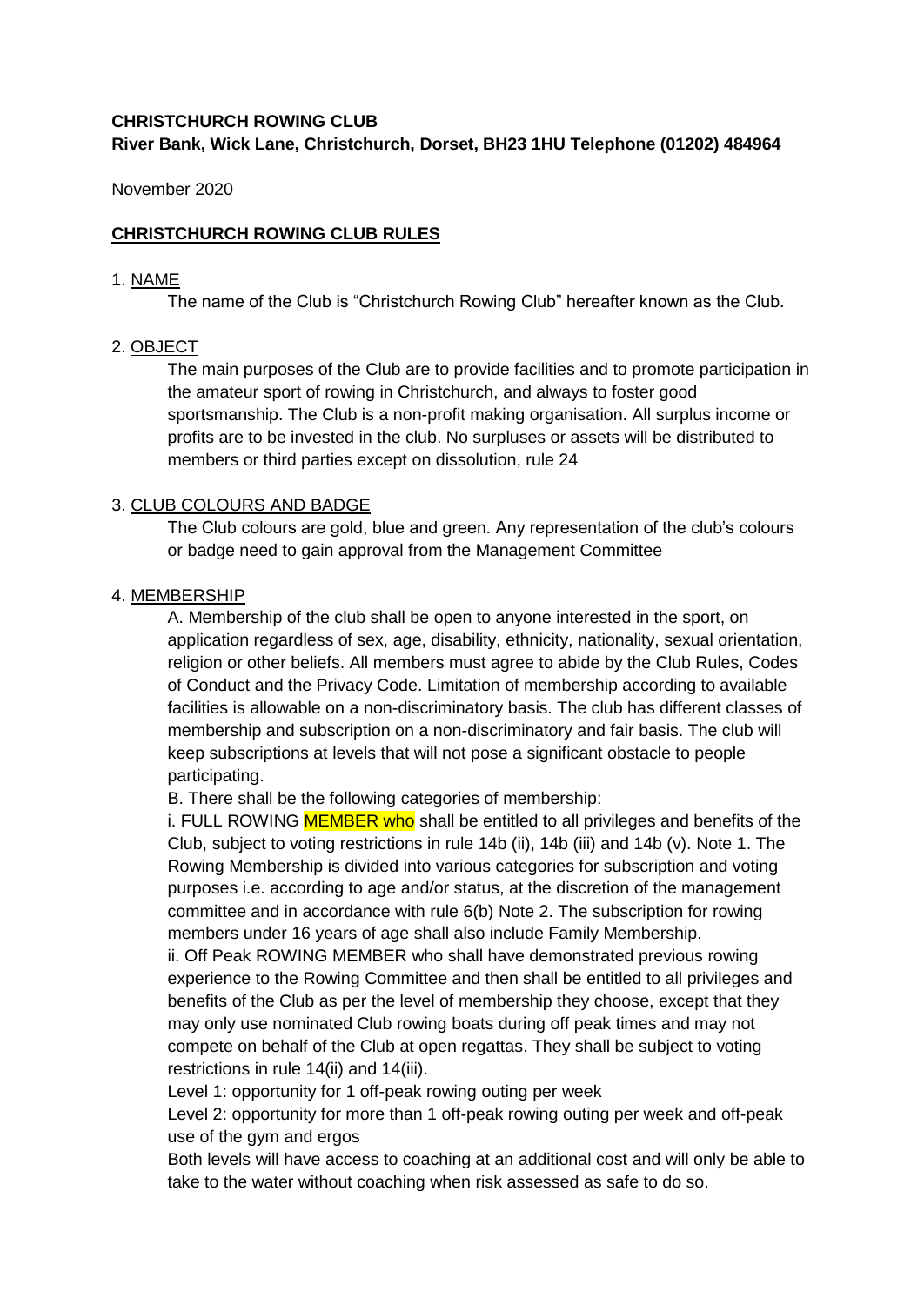# **CHRISTCHURCH ROWING CLUB River Bank, Wick Lane, Christchurch, Dorset, BH23 1HU Telephone (01202) 484964**

November 2020

## **CHRISTCHURCH ROWING CLUB RULES**

#### 1. NAME

The name of the Club is "Christchurch Rowing Club" hereafter known as the Club.

### 2. OBJECT

The main purposes of the Club are to provide facilities and to promote participation in the amateur sport of rowing in Christchurch, and always to foster good sportsmanship. The Club is a non-profit making organisation. All surplus income or profits are to be invested in the club. No surpluses or assets will be distributed to members or third parties except on dissolution, rule 24

### 3. CLUB COLOURS AND BADGE

The Club colours are gold, blue and green. Any representation of the club's colours or badge need to gain approval from the Management Committee

### 4. MEMBERSHIP

A. Membership of the club shall be open to anyone interested in the sport, on application regardless of sex, age, disability, ethnicity, nationality, sexual orientation, religion or other beliefs. All members must agree to abide by the Club Rules, Codes of Conduct and the Privacy Code. Limitation of membership according to available facilities is allowable on a non-discriminatory basis. The club has different classes of membership and subscription on a non-discriminatory and fair basis. The club will keep subscriptions at levels that will not pose a significant obstacle to people participating.

B. There shall be the following categories of membership:

i. FULL ROWING MEMBER who shall be entitled to all privileges and benefits of the Club, subject to voting restrictions in rule 14b (ii), 14b (iii) and 14b (v). Note 1. The Rowing Membership is divided into various categories for subscription and voting purposes i.e. according to age and/or status, at the discretion of the management committee and in accordance with rule 6(b) Note 2. The subscription for rowing members under 16 years of age shall also include Family Membership.

ii. Off Peak ROWING MEMBER who shall have demonstrated previous rowing experience to the Rowing Committee and then shall be entitled to all privileges and benefits of the Club as per the level of membership they choose, except that they may only use nominated Club rowing boats during off peak times and may not compete on behalf of the Club at open regattas. They shall be subject to voting restrictions in rule 14(ii) and 14(iii).

Level 1: opportunity for 1 off-peak rowing outing per week

Level 2: opportunity for more than 1 off-peak rowing outing per week and off-peak use of the gym and ergos

Both levels will have access to coaching at an additional cost and will only be able to take to the water without coaching when risk assessed as safe to do so.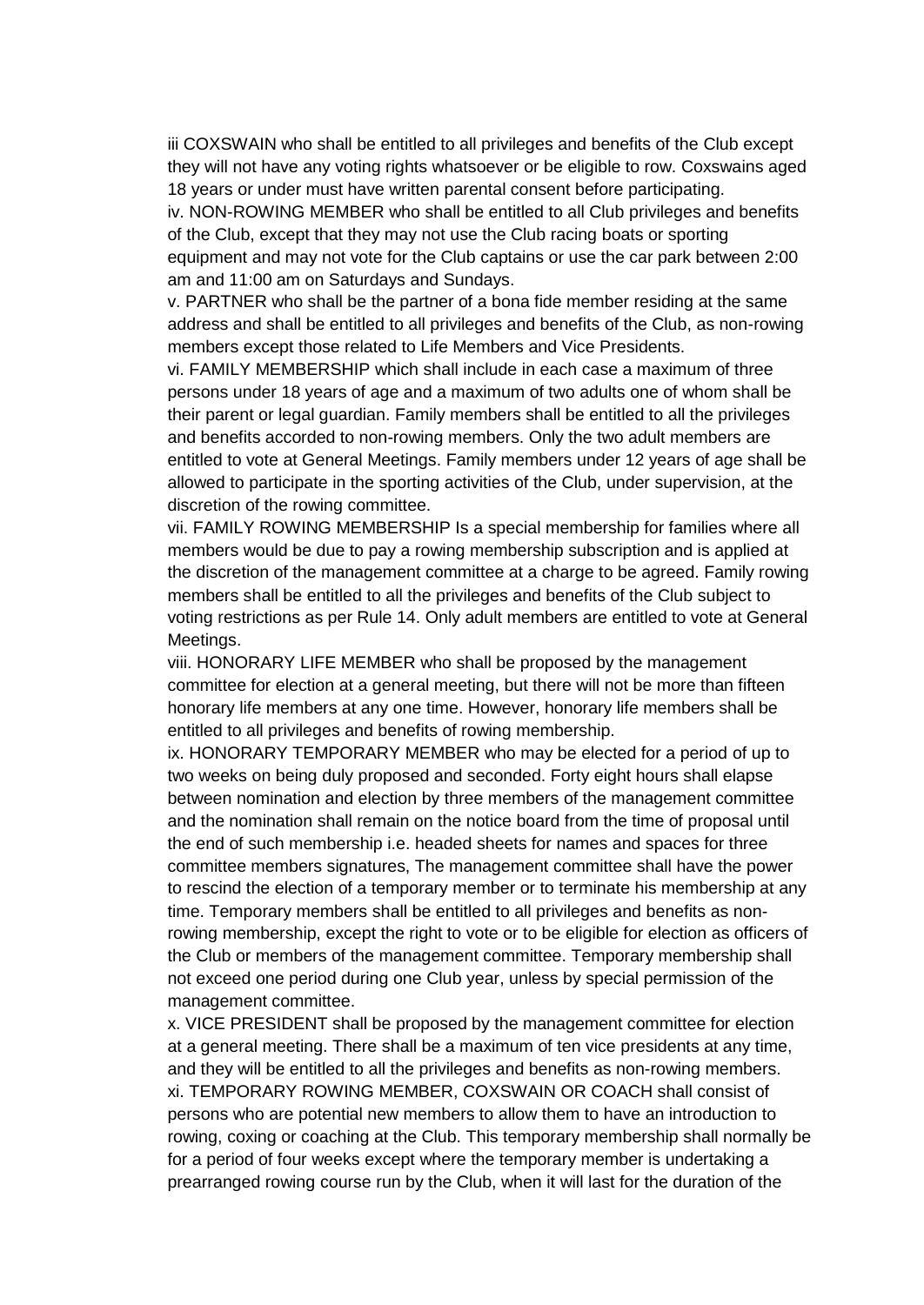iii COXSWAIN who shall be entitled to all privileges and benefits of the Club except they will not have any voting rights whatsoever or be eligible to row. Coxswains aged 18 years or under must have written parental consent before participating.

iv. NON-ROWING MEMBER who shall be entitled to all Club privileges and benefits of the Club, except that they may not use the Club racing boats or sporting equipment and may not vote for the Club captains or use the car park between 2:00 am and 11:00 am on Saturdays and Sundays.

v. PARTNER who shall be the partner of a bona fide member residing at the same address and shall be entitled to all privileges and benefits of the Club, as non-rowing members except those related to Life Members and Vice Presidents.

vi. FAMILY MEMBERSHIP which shall include in each case a maximum of three persons under 18 years of age and a maximum of two adults one of whom shall be their parent or legal guardian. Family members shall be entitled to all the privileges and benefits accorded to non-rowing members. Only the two adult members are entitled to vote at General Meetings. Family members under 12 years of age shall be allowed to participate in the sporting activities of the Club, under supervision, at the discretion of the rowing committee.

vii. FAMILY ROWING MEMBERSHIP Is a special membership for families where all members would be due to pay a rowing membership subscription and is applied at the discretion of the management committee at a charge to be agreed. Family rowing members shall be entitled to all the privileges and benefits of the Club subject to voting restrictions as per Rule 14. Only adult members are entitled to vote at General Meetings.

viii. HONORARY LIFE MEMBER who shall be proposed by the management committee for election at a general meeting, but there will not be more than fifteen honorary life members at any one time. However, honorary life members shall be entitled to all privileges and benefits of rowing membership.

ix. HONORARY TEMPORARY MEMBER who may be elected for a period of up to two weeks on being duly proposed and seconded. Forty eight hours shall elapse between nomination and election by three members of the management committee and the nomination shall remain on the notice board from the time of proposal until the end of such membership i.e. headed sheets for names and spaces for three committee members signatures, The management committee shall have the power to rescind the election of a temporary member or to terminate his membership at any time. Temporary members shall be entitled to all privileges and benefits as nonrowing membership, except the right to vote or to be eligible for election as officers of the Club or members of the management committee. Temporary membership shall not exceed one period during one Club year, unless by special permission of the management committee.

x. VICE PRESIDENT shall be proposed by the management committee for election at a general meeting. There shall be a maximum of ten vice presidents at any time, and they will be entitled to all the privileges and benefits as non-rowing members. xi. TEMPORARY ROWING MEMBER, COXSWAIN OR COACH shall consist of persons who are potential new members to allow them to have an introduction to rowing, coxing or coaching at the Club. This temporary membership shall normally be for a period of four weeks except where the temporary member is undertaking a prearranged rowing course run by the Club, when it will last for the duration of the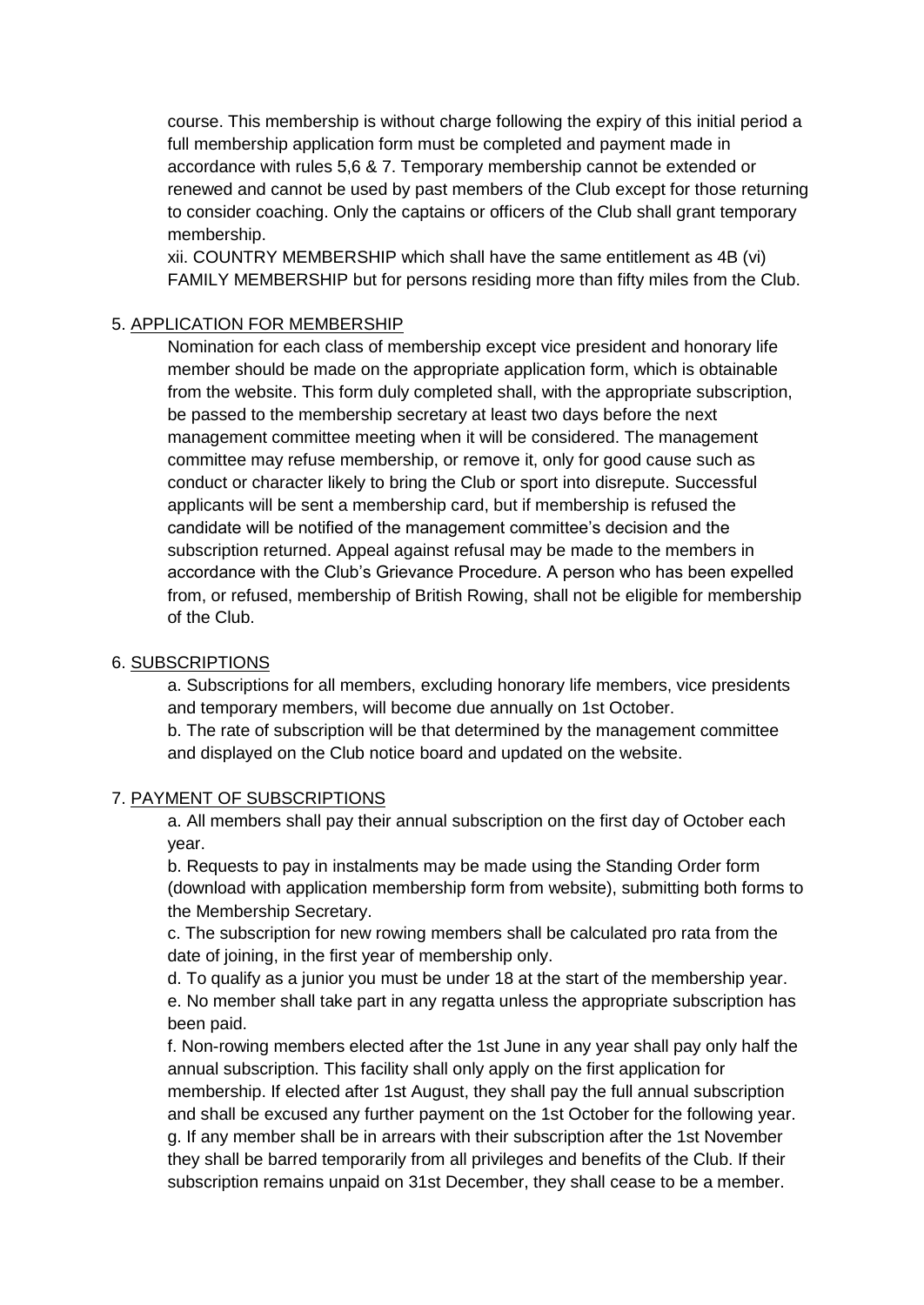course. This membership is without charge following the expiry of this initial period a full membership application form must be completed and payment made in accordance with rules 5,6 & 7. Temporary membership cannot be extended or renewed and cannot be used by past members of the Club except for those returning to consider coaching. Only the captains or officers of the Club shall grant temporary membership.

xii. COUNTRY MEMBERSHIP which shall have the same entitlement as 4B (vi) FAMILY MEMBERSHIP but for persons residing more than fifty miles from the Club.

### 5. APPLICATION FOR MEMBERSHIP

Nomination for each class of membership except vice president and honorary life member should be made on the appropriate application form, which is obtainable from the website. This form duly completed shall, with the appropriate subscription, be passed to the membership secretary at least two days before the next management committee meeting when it will be considered. The management committee may refuse membership, or remove it, only for good cause such as conduct or character likely to bring the Club or sport into disrepute. Successful applicants will be sent a membership card, but if membership is refused the candidate will be notified of the management committee's decision and the subscription returned. Appeal against refusal may be made to the members in accordance with the Club's Grievance Procedure. A person who has been expelled from, or refused, membership of British Rowing, shall not be eligible for membership of the Club.

### 6. SUBSCRIPTIONS

a. Subscriptions for all members, excluding honorary life members, vice presidents and temporary members, will become due annually on 1st October. b. The rate of subscription will be that determined by the management committee and displayed on the Club notice board and updated on the website.

### 7. PAYMENT OF SUBSCRIPTIONS

a. All members shall pay their annual subscription on the first day of October each year.

b. Requests to pay in instalments may be made using the Standing Order form (download with application membership form from website), submitting both forms to the Membership Secretary.

c. The subscription for new rowing members shall be calculated pro rata from the date of joining, in the first year of membership only.

d. To qualify as a junior you must be under 18 at the start of the membership year. e. No member shall take part in any regatta unless the appropriate subscription has been paid.

f. Non-rowing members elected after the 1st June in any year shall pay only half the annual subscription. This facility shall only apply on the first application for membership. If elected after 1st August, they shall pay the full annual subscription and shall be excused any further payment on the 1st October for the following year. g. If any member shall be in arrears with their subscription after the 1st November they shall be barred temporarily from all privileges and benefits of the Club. If their subscription remains unpaid on 31st December, they shall cease to be a member.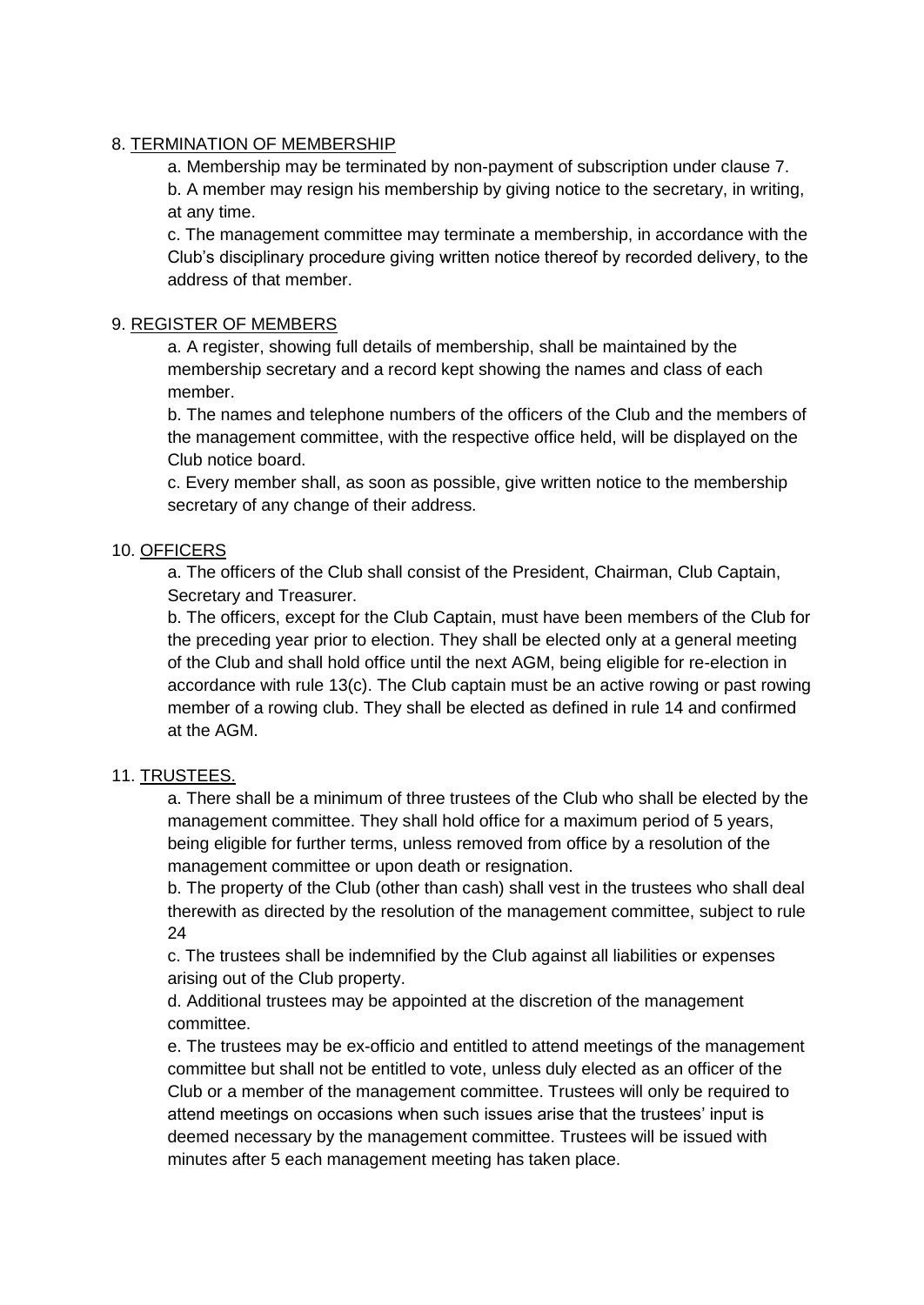## 8. TERMINATION OF MEMBERSHIP

a. Membership may be terminated by non-payment of subscription under clause 7. b. A member may resign his membership by giving notice to the secretary, in writing, at any time.

c. The management committee may terminate a membership, in accordance with the Club's disciplinary procedure giving written notice thereof by recorded delivery, to the address of that member.

## 9. REGISTER OF MEMBERS

a. A register, showing full details of membership, shall be maintained by the membership secretary and a record kept showing the names and class of each member.

b. The names and telephone numbers of the officers of the Club and the members of the management committee, with the respective office held, will be displayed on the Club notice board.

c. Every member shall, as soon as possible, give written notice to the membership secretary of any change of their address.

# 10. OFFICERS

a. The officers of the Club shall consist of the President, Chairman, Club Captain, Secretary and Treasurer.

b. The officers, except for the Club Captain, must have been members of the Club for the preceding year prior to election. They shall be elected only at a general meeting of the Club and shall hold office until the next AGM, being eligible for re-election in accordance with rule 13(c). The Club captain must be an active rowing or past rowing member of a rowing club. They shall be elected as defined in rule 14 and confirmed at the AGM.

# 11. TRUSTEES.

a. There shall be a minimum of three trustees of the Club who shall be elected by the management committee. They shall hold office for a maximum period of 5 years, being eligible for further terms, unless removed from office by a resolution of the management committee or upon death or resignation.

b. The property of the Club (other than cash) shall vest in the trustees who shall deal therewith as directed by the resolution of the management committee, subject to rule 24

c. The trustees shall be indemnified by the Club against all liabilities or expenses arising out of the Club property.

d. Additional trustees may be appointed at the discretion of the management committee.

e. The trustees may be ex-officio and entitled to attend meetings of the management committee but shall not be entitled to vote, unless duly elected as an officer of the Club or a member of the management committee. Trustees will only be required to attend meetings on occasions when such issues arise that the trustees' input is deemed necessary by the management committee. Trustees will be issued with minutes after 5 each management meeting has taken place.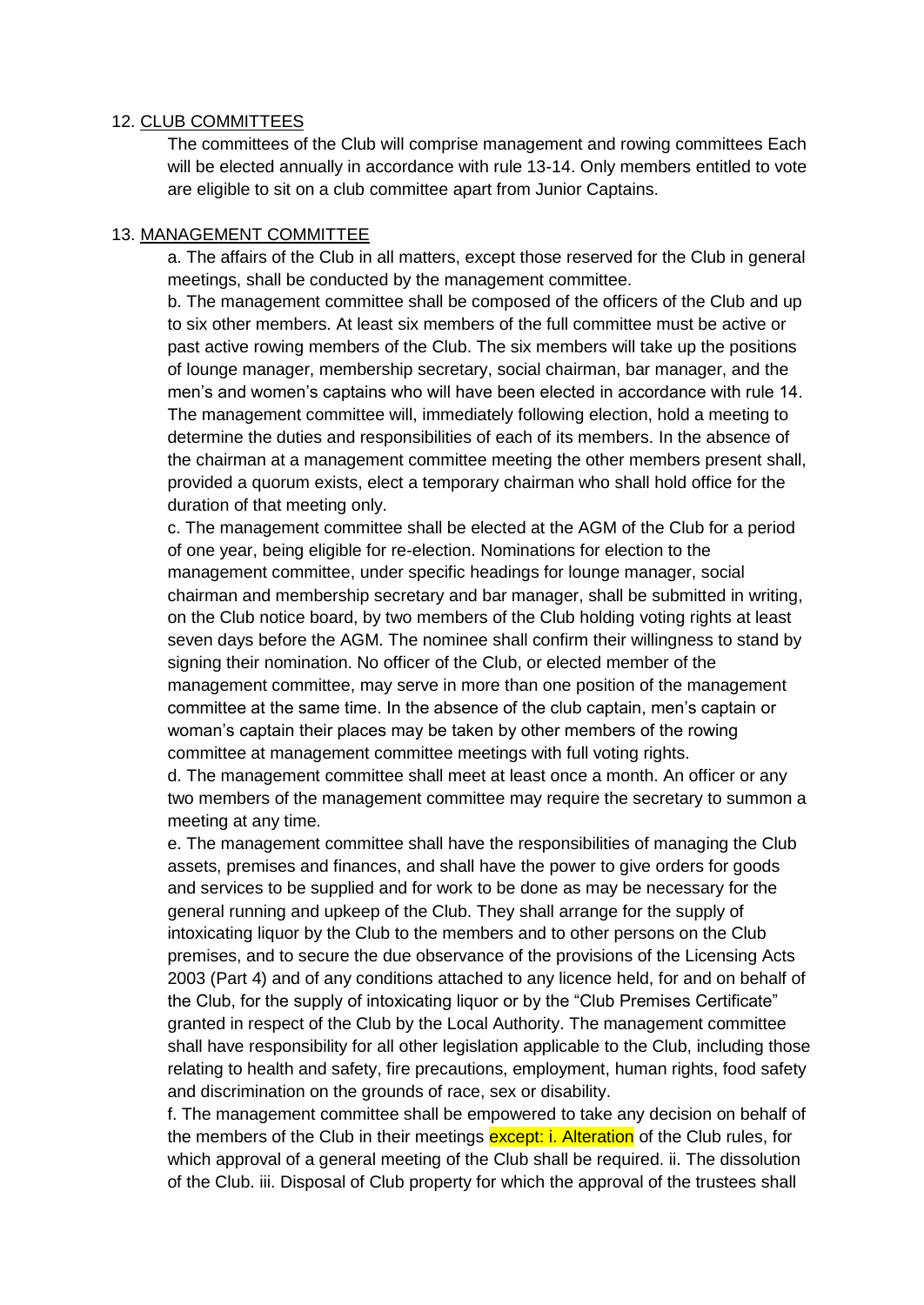### 12. CLUB COMMITTEES

The committees of the Club will comprise management and rowing committees Each will be elected annually in accordance with rule 13-14. Only members entitled to vote are eligible to sit on a club committee apart from Junior Captains.

### 13. MANAGEMENT COMMITTEE

a. The affairs of the Club in all matters, except those reserved for the Club in general meetings, shall be conducted by the management committee.

b. The management committee shall be composed of the officers of the Club and up to six other members. At least six members of the full committee must be active or past active rowing members of the Club. The six members will take up the positions of lounge manager, membership secretary, social chairman, bar manager, and the men's and women's captains who will have been elected in accordance with rule 14. The management committee will, immediately following election, hold a meeting to determine the duties and responsibilities of each of its members. In the absence of the chairman at a management committee meeting the other members present shall, provided a quorum exists, elect a temporary chairman who shall hold office for the duration of that meeting only.

c. The management committee shall be elected at the AGM of the Club for a period of one year, being eligible for re-election. Nominations for election to the management committee, under specific headings for lounge manager, social chairman and membership secretary and bar manager, shall be submitted in writing, on the Club notice board, by two members of the Club holding voting rights at least seven days before the AGM. The nominee shall confirm their willingness to stand by signing their nomination. No officer of the Club, or elected member of the management committee, may serve in more than one position of the management committee at the same time. In the absence of the club captain, men's captain or woman's captain their places may be taken by other members of the rowing committee at management committee meetings with full voting rights.

d. The management committee shall meet at least once a month. An officer or any two members of the management committee may require the secretary to summon a meeting at any time.

e. The management committee shall have the responsibilities of managing the Club assets, premises and finances, and shall have the power to give orders for goods and services to be supplied and for work to be done as may be necessary for the general running and upkeep of the Club. They shall arrange for the supply of intoxicating liquor by the Club to the members and to other persons on the Club premises, and to secure the due observance of the provisions of the Licensing Acts 2003 (Part 4) and of any conditions attached to any licence held, for and on behalf of the Club, for the supply of intoxicating liquor or by the "Club Premises Certificate" granted in respect of the Club by the Local Authority. The management committee shall have responsibility for all other legislation applicable to the Club, including those relating to health and safety, fire precautions, employment, human rights, food safety and discrimination on the grounds of race, sex or disability.

f. The management committee shall be empowered to take any decision on behalf of the members of the Club in their meetings except: i. Alteration of the Club rules, for which approval of a general meeting of the Club shall be required. ii. The dissolution of the Club. iii. Disposal of Club property for which the approval of the trustees shall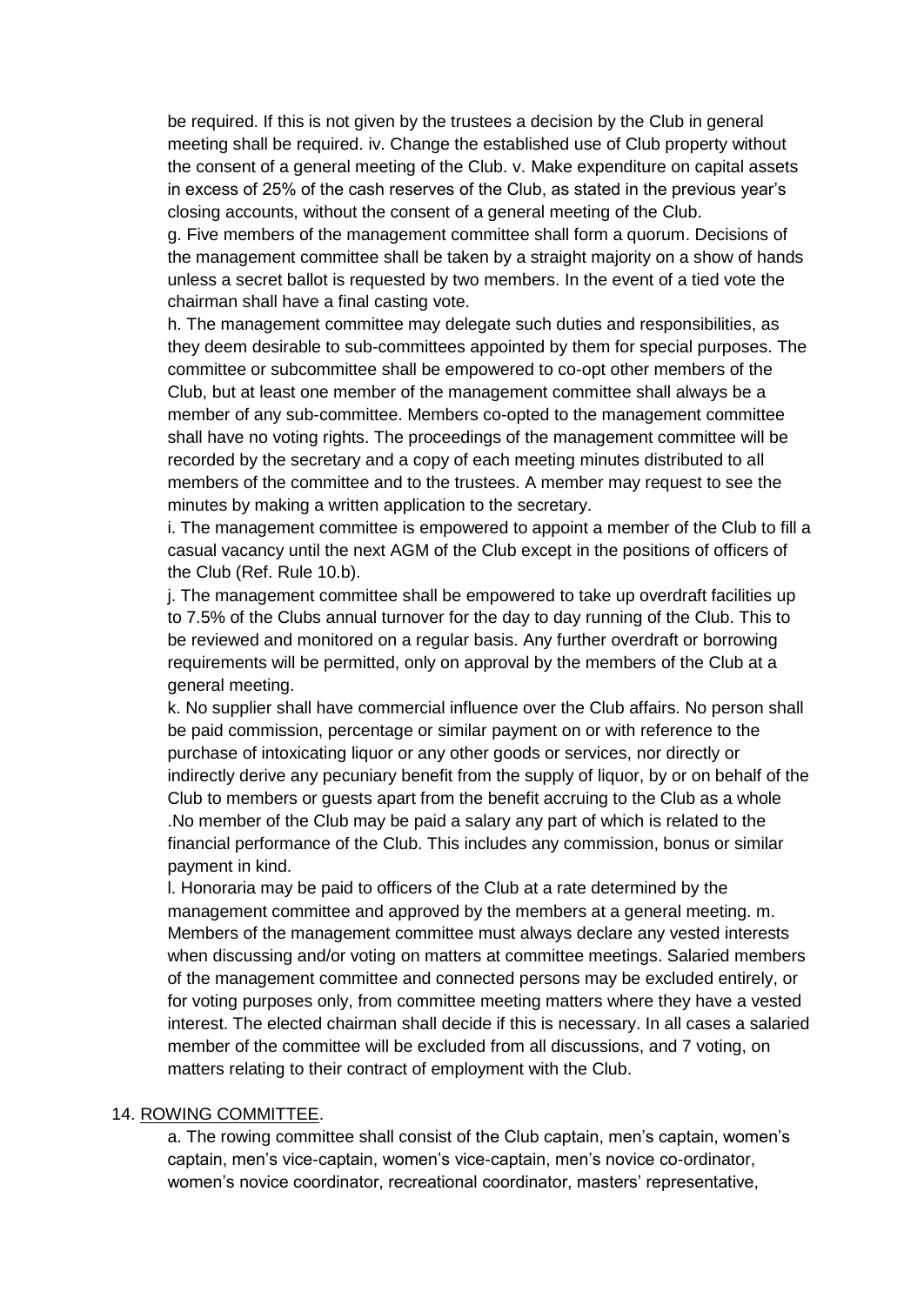be required. If this is not given by the trustees a decision by the Club in general meeting shall be required. iv. Change the established use of Club property without the consent of a general meeting of the Club. v. Make expenditure on capital assets in excess of 25% of the cash reserves of the Club, as stated in the previous year's closing accounts, without the consent of a general meeting of the Club.

g. Five members of the management committee shall form a quorum. Decisions of the management committee shall be taken by a straight majority on a show of hands unless a secret ballot is requested by two members. In the event of a tied vote the chairman shall have a final casting vote.

h. The management committee may delegate such duties and responsibilities, as they deem desirable to sub-committees appointed by them for special purposes. The committee or subcommittee shall be empowered to co-opt other members of the Club, but at least one member of the management committee shall always be a member of any sub-committee. Members co-opted to the management committee shall have no voting rights. The proceedings of the management committee will be recorded by the secretary and a copy of each meeting minutes distributed to all members of the committee and to the trustees. A member may request to see the minutes by making a written application to the secretary.

i. The management committee is empowered to appoint a member of the Club to fill a casual vacancy until the next AGM of the Club except in the positions of officers of the Club (Ref. Rule 10.b).

j. The management committee shall be empowered to take up overdraft facilities up to 7.5% of the Clubs annual turnover for the day to day running of the Club. This to be reviewed and monitored on a regular basis. Any further overdraft or borrowing requirements will be permitted, only on approval by the members of the Club at a general meeting.

k. No supplier shall have commercial influence over the Club affairs. No person shall be paid commission, percentage or similar payment on or with reference to the purchase of intoxicating liquor or any other goods or services, nor directly or indirectly derive any pecuniary benefit from the supply of liquor, by or on behalf of the Club to members or guests apart from the benefit accruing to the Club as a whole .No member of the Club may be paid a salary any part of which is related to the financial performance of the Club. This includes any commission, bonus or similar payment in kind.

l. Honoraria may be paid to officers of the Club at a rate determined by the management committee and approved by the members at a general meeting. m. Members of the management committee must always declare any vested interests when discussing and/or voting on matters at committee meetings. Salaried members of the management committee and connected persons may be excluded entirely, or for voting purposes only, from committee meeting matters where they have a vested interest. The elected chairman shall decide if this is necessary. In all cases a salaried member of the committee will be excluded from all discussions, and 7 voting, on matters relating to their contract of employment with the Club.

#### 14. ROWING COMMITTEE.

a. The rowing committee shall consist of the Club captain, men's captain, women's captain, men's vice-captain, women's vice-captain, men's novice co-ordinator, women's novice coordinator, recreational coordinator, masters' representative,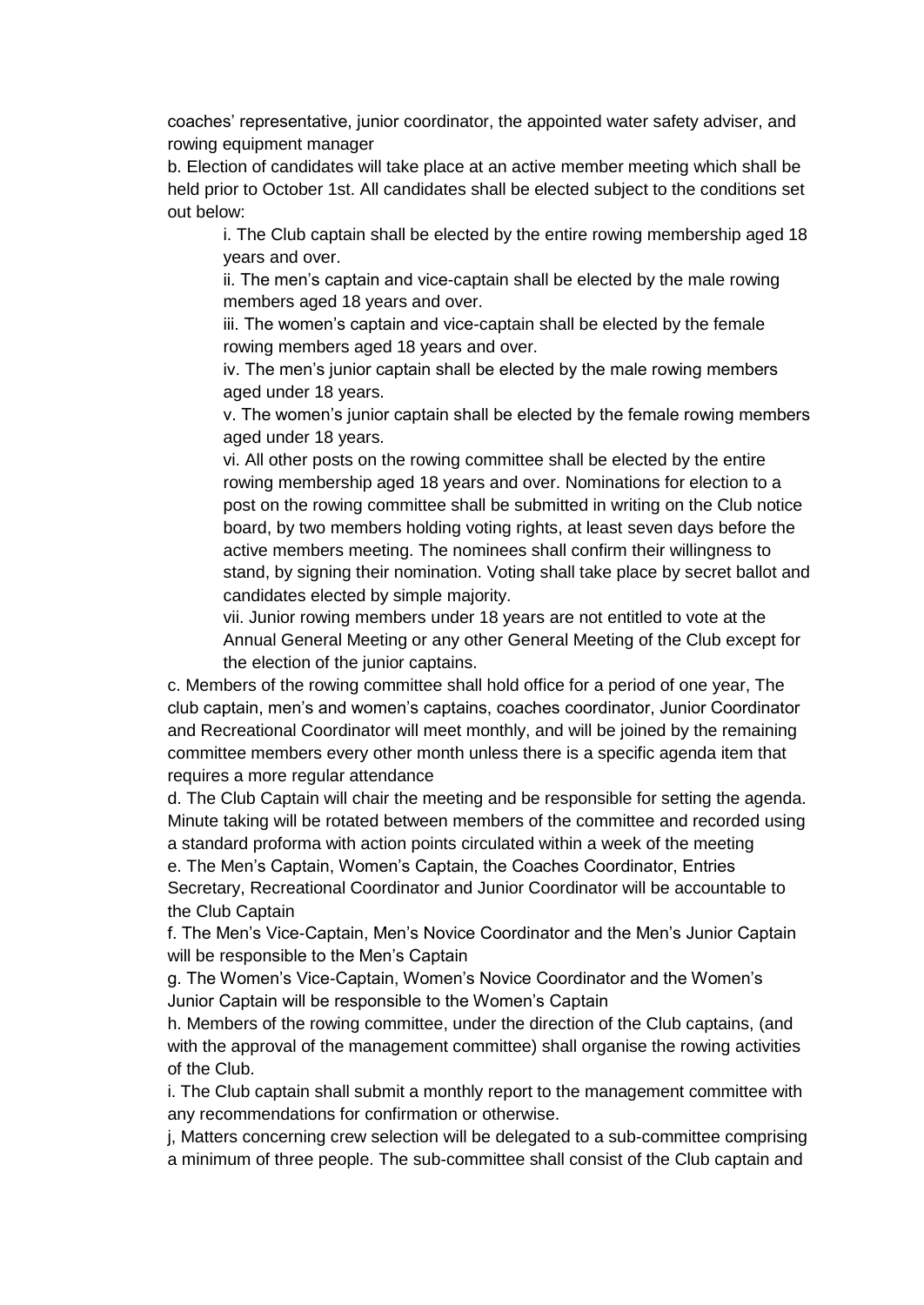coaches' representative, junior coordinator, the appointed water safety adviser, and rowing equipment manager

b. Election of candidates will take place at an active member meeting which shall be held prior to October 1st. All candidates shall be elected subject to the conditions set out below:

i. The Club captain shall be elected by the entire rowing membership aged 18 years and over.

ii. The men's captain and vice-captain shall be elected by the male rowing members aged 18 years and over.

iii. The women's captain and vice-captain shall be elected by the female rowing members aged 18 years and over.

iv. The men's junior captain shall be elected by the male rowing members aged under 18 years.

v. The women's junior captain shall be elected by the female rowing members aged under 18 years.

vi. All other posts on the rowing committee shall be elected by the entire rowing membership aged 18 years and over. Nominations for election to a post on the rowing committee shall be submitted in writing on the Club notice board, by two members holding voting rights, at least seven days before the active members meeting. The nominees shall confirm their willingness to stand, by signing their nomination. Voting shall take place by secret ballot and candidates elected by simple majority.

vii. Junior rowing members under 18 years are not entitled to vote at the Annual General Meeting or any other General Meeting of the Club except for the election of the junior captains.

c. Members of the rowing committee shall hold office for a period of one year, The club captain, men's and women's captains, coaches coordinator, Junior Coordinator and Recreational Coordinator will meet monthly, and will be joined by the remaining committee members every other month unless there is a specific agenda item that requires a more regular attendance

d. The Club Captain will chair the meeting and be responsible for setting the agenda. Minute taking will be rotated between members of the committee and recorded using a standard proforma with action points circulated within a week of the meeting e. The Men's Captain, Women's Captain, the Coaches Coordinator, Entries Secretary, Recreational Coordinator and Junior Coordinator will be accountable to the Club Captain

f. The Men's Vice-Captain, Men's Novice Coordinator and the Men's Junior Captain will be responsible to the Men's Captain

g. The Women's Vice-Captain, Women's Novice Coordinator and the Women's Junior Captain will be responsible to the Women's Captain

h. Members of the rowing committee, under the direction of the Club captains, (and with the approval of the management committee) shall organise the rowing activities of the Club.

i. The Club captain shall submit a monthly report to the management committee with any recommendations for confirmation or otherwise.

j, Matters concerning crew selection will be delegated to a sub-committee comprising a minimum of three people. The sub-committee shall consist of the Club captain and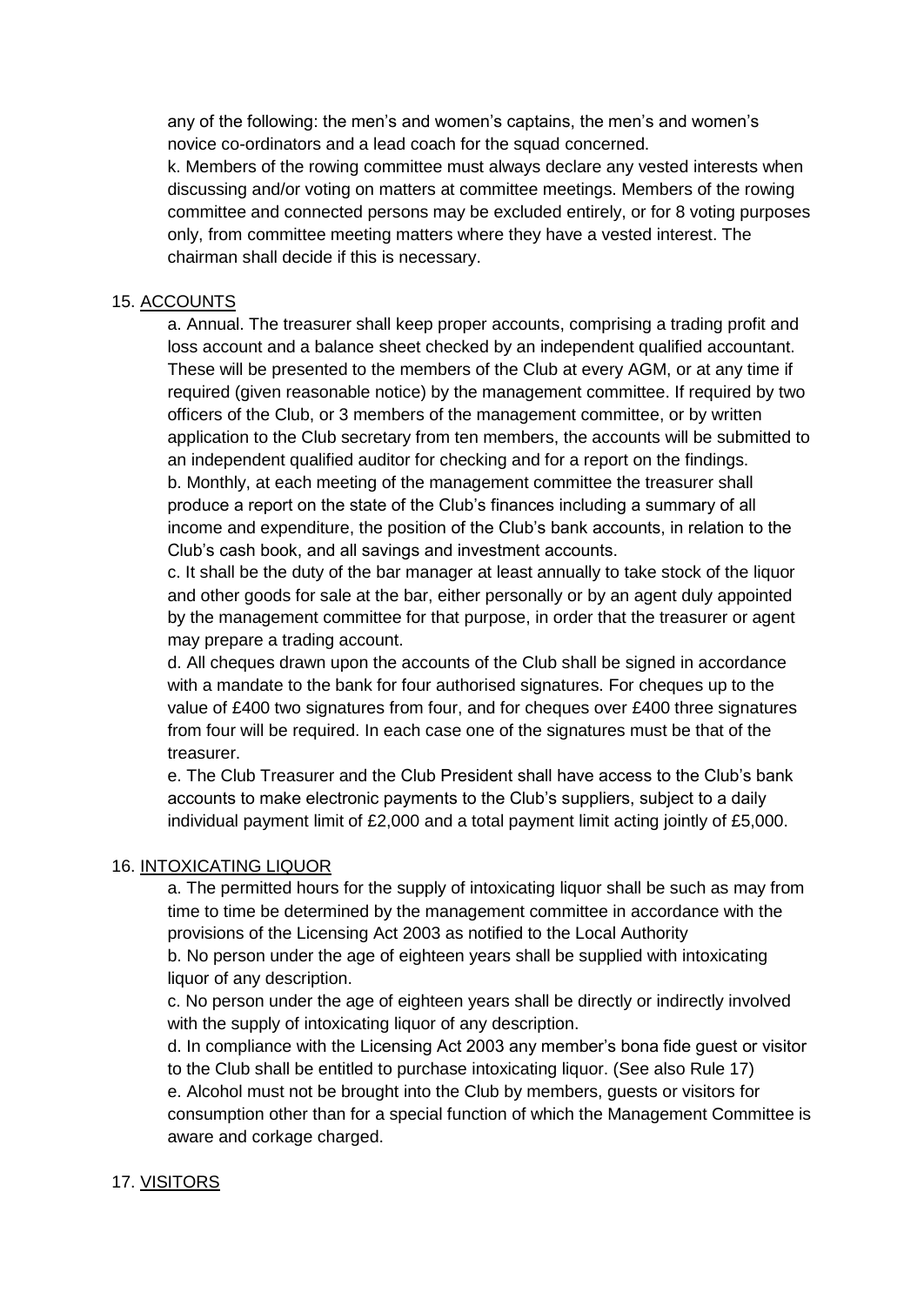any of the following: the men's and women's captains, the men's and women's novice co-ordinators and a lead coach for the squad concerned.

k. Members of the rowing committee must always declare any vested interests when discussing and/or voting on matters at committee meetings. Members of the rowing committee and connected persons may be excluded entirely, or for 8 voting purposes only, from committee meeting matters where they have a vested interest. The chairman shall decide if this is necessary.

## 15. ACCOUNTS

a. Annual. The treasurer shall keep proper accounts, comprising a trading profit and loss account and a balance sheet checked by an independent qualified accountant. These will be presented to the members of the Club at every AGM, or at any time if required (given reasonable notice) by the management committee. If required by two officers of the Club, or 3 members of the management committee, or by written application to the Club secretary from ten members, the accounts will be submitted to an independent qualified auditor for checking and for a report on the findings. b. Monthly, at each meeting of the management committee the treasurer shall produce a report on the state of the Club's finances including a summary of all income and expenditure, the position of the Club's bank accounts, in relation to the Club's cash book, and all savings and investment accounts.

c. It shall be the duty of the bar manager at least annually to take stock of the liquor and other goods for sale at the bar, either personally or by an agent duly appointed by the management committee for that purpose, in order that the treasurer or agent may prepare a trading account.

d. All cheques drawn upon the accounts of the Club shall be signed in accordance with a mandate to the bank for four authorised signatures. For cheques up to the value of £400 two signatures from four, and for cheques over £400 three signatures from four will be required. In each case one of the signatures must be that of the treasurer.

e. The Club Treasurer and the Club President shall have access to the Club's bank accounts to make electronic payments to the Club's suppliers, subject to a daily individual payment limit of £2,000 and a total payment limit acting jointly of £5,000.

### 16. INTOXICATING LIQUOR

a. The permitted hours for the supply of intoxicating liquor shall be such as may from time to time be determined by the management committee in accordance with the provisions of the Licensing Act 2003 as notified to the Local Authority b. No person under the age of eighteen years shall be supplied with intoxicating liquor of any description.

c. No person under the age of eighteen years shall be directly or indirectly involved with the supply of intoxicating liquor of any description.

d. In compliance with the Licensing Act 2003 any member's bona fide guest or visitor to the Club shall be entitled to purchase intoxicating liquor. (See also Rule 17) e. Alcohol must not be brought into the Club by members, guests or visitors for consumption other than for a special function of which the Management Committee is aware and corkage charged.

# 17. VISITORS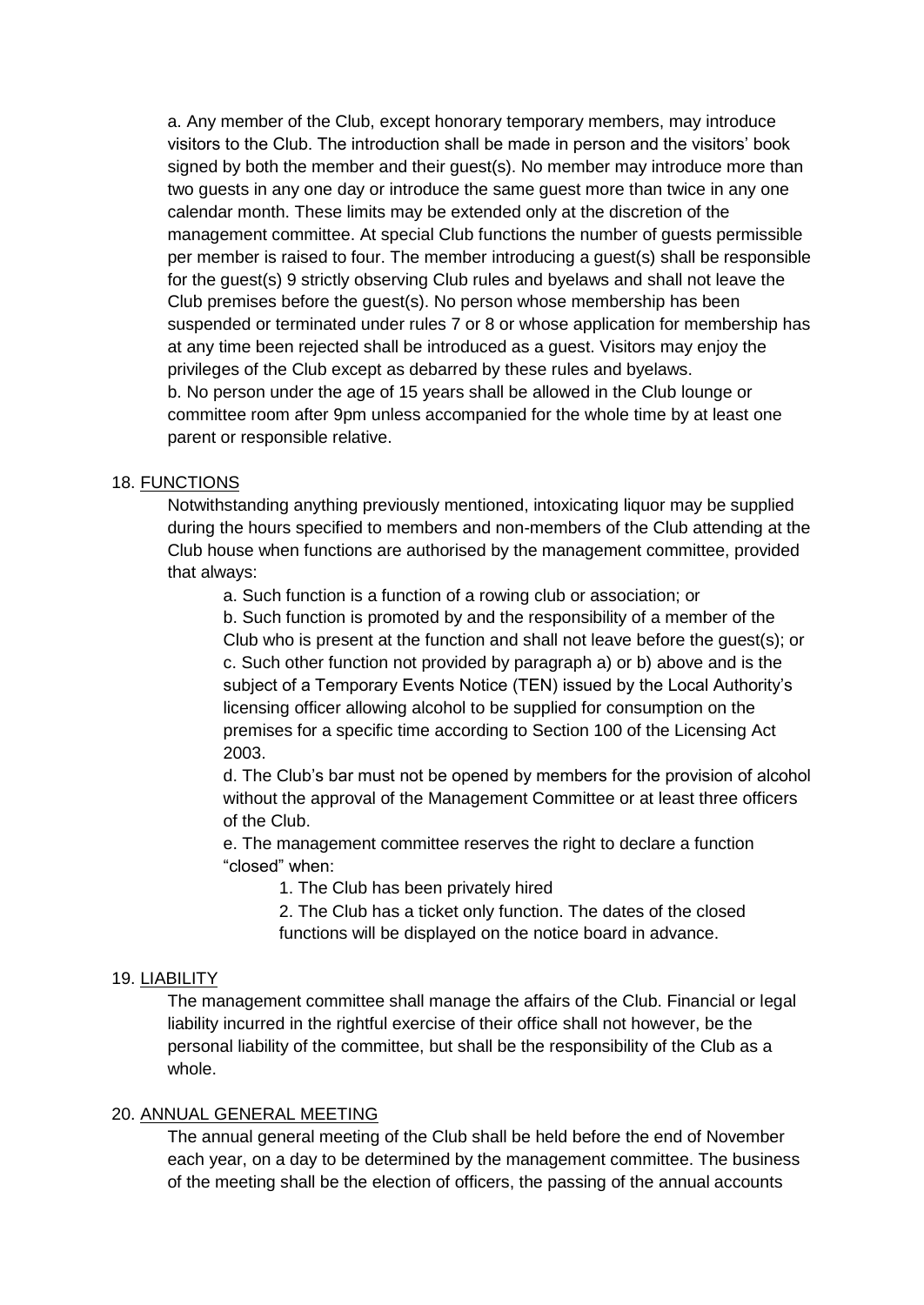a. Any member of the Club, except honorary temporary members, may introduce visitors to the Club. The introduction shall be made in person and the visitors' book signed by both the member and their guest(s). No member may introduce more than two guests in any one day or introduce the same guest more than twice in any one calendar month. These limits may be extended only at the discretion of the management committee. At special Club functions the number of guests permissible per member is raised to four. The member introducing a guest(s) shall be responsible for the guest(s) 9 strictly observing Club rules and byelaws and shall not leave the Club premises before the guest(s). No person whose membership has been suspended or terminated under rules 7 or 8 or whose application for membership has at any time been rejected shall be introduced as a guest. Visitors may enjoy the privileges of the Club except as debarred by these rules and byelaws. b. No person under the age of 15 years shall be allowed in the Club lounge or committee room after 9pm unless accompanied for the whole time by at least one parent or responsible relative.

### 18. FUNCTIONS

Notwithstanding anything previously mentioned, intoxicating liquor may be supplied during the hours specified to members and non-members of the Club attending at the Club house when functions are authorised by the management committee, provided that always:

a. Such function is a function of a rowing club or association; or

b. Such function is promoted by and the responsibility of a member of the Club who is present at the function and shall not leave before the guest(s); or c. Such other function not provided by paragraph a) or b) above and is the subject of a Temporary Events Notice (TEN) issued by the Local Authority's licensing officer allowing alcohol to be supplied for consumption on the premises for a specific time according to Section 100 of the Licensing Act

2003.

d. The Club's bar must not be opened by members for the provision of alcohol without the approval of the Management Committee or at least three officers of the Club.

e. The management committee reserves the right to declare a function "closed" when:

1. The Club has been privately hired

2. The Club has a ticket only function. The dates of the closed functions will be displayed on the notice board in advance.

### 19. LIABILITY

The management committee shall manage the affairs of the Club. Financial or legal liability incurred in the rightful exercise of their office shall not however, be the personal liability of the committee, but shall be the responsibility of the Club as a whole.

#### 20. ANNUAL GENERAL MEETING

The annual general meeting of the Club shall be held before the end of November each year, on a day to be determined by the management committee. The business of the meeting shall be the election of officers, the passing of the annual accounts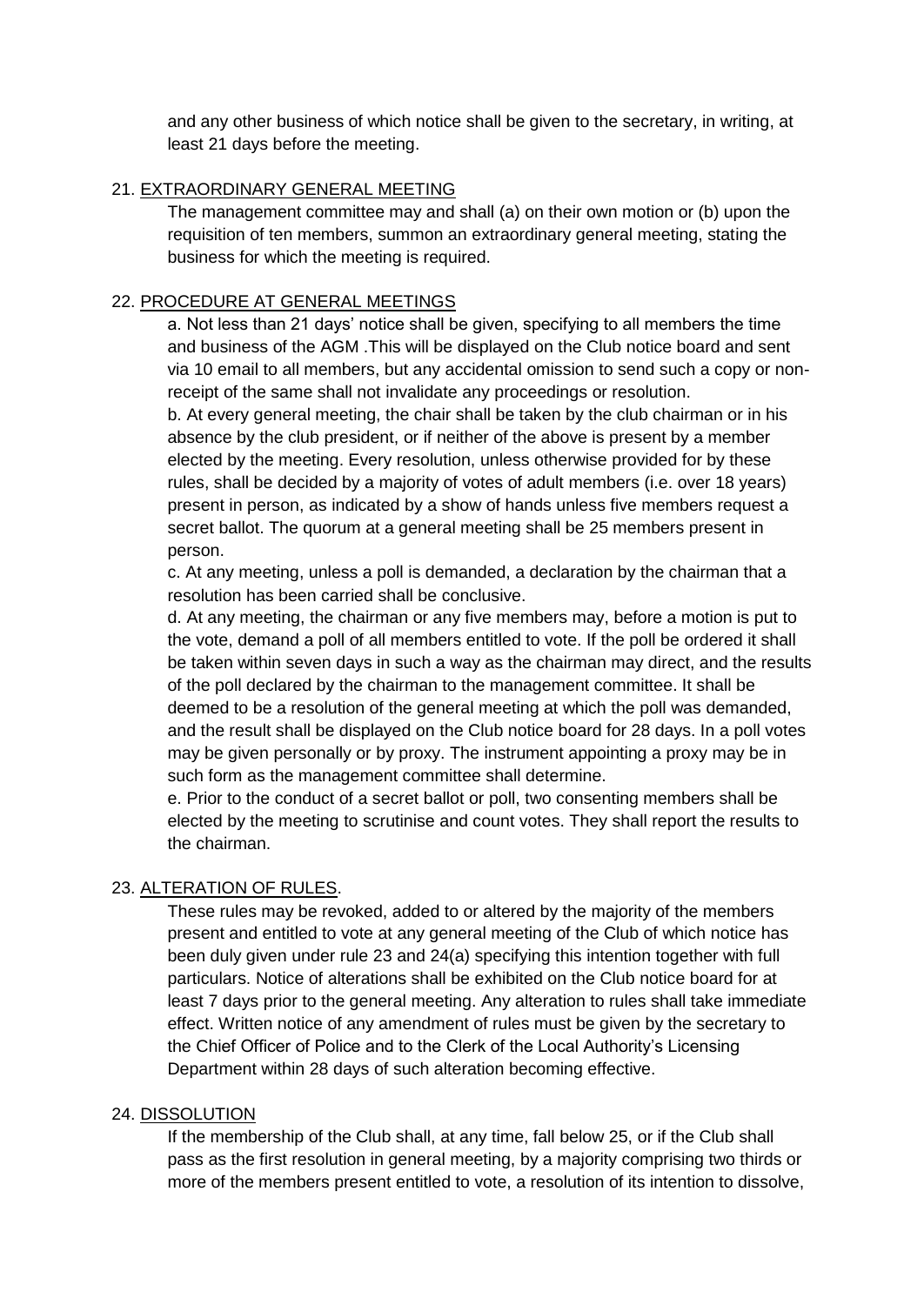and any other business of which notice shall be given to the secretary, in writing, at least 21 days before the meeting.

### 21. EXTRAORDINARY GENERAL MEETING

The management committee may and shall (a) on their own motion or (b) upon the requisition of ten members, summon an extraordinary general meeting, stating the business for which the meeting is required.

### 22. PROCEDURE AT GENERAL MEETINGS

a. Not less than 21 days' notice shall be given, specifying to all members the time and business of the AGM .This will be displayed on the Club notice board and sent via 10 email to all members, but any accidental omission to send such a copy or nonreceipt of the same shall not invalidate any proceedings or resolution.

b. At every general meeting, the chair shall be taken by the club chairman or in his absence by the club president, or if neither of the above is present by a member elected by the meeting. Every resolution, unless otherwise provided for by these rules, shall be decided by a majority of votes of adult members (i.e. over 18 years) present in person, as indicated by a show of hands unless five members request a secret ballot. The quorum at a general meeting shall be 25 members present in person.

c. At any meeting, unless a poll is demanded, a declaration by the chairman that a resolution has been carried shall be conclusive.

d. At any meeting, the chairman or any five members may, before a motion is put to the vote, demand a poll of all members entitled to vote. If the poll be ordered it shall be taken within seven days in such a way as the chairman may direct, and the results of the poll declared by the chairman to the management committee. It shall be deemed to be a resolution of the general meeting at which the poll was demanded, and the result shall be displayed on the Club notice board for 28 days. In a poll votes may be given personally or by proxy. The instrument appointing a proxy may be in such form as the management committee shall determine.

e. Prior to the conduct of a secret ballot or poll, two consenting members shall be elected by the meeting to scrutinise and count votes. They shall report the results to the chairman.

# 23. ALTERATION OF RULES.

These rules may be revoked, added to or altered by the majority of the members present and entitled to vote at any general meeting of the Club of which notice has been duly given under rule 23 and 24(a) specifying this intention together with full particulars. Notice of alterations shall be exhibited on the Club notice board for at least 7 days prior to the general meeting. Any alteration to rules shall take immediate effect. Written notice of any amendment of rules must be given by the secretary to the Chief Officer of Police and to the Clerk of the Local Authority's Licensing Department within 28 days of such alteration becoming effective.

### 24. DISSOLUTION

If the membership of the Club shall, at any time, fall below 25, or if the Club shall pass as the first resolution in general meeting, by a majority comprising two thirds or more of the members present entitled to vote, a resolution of its intention to dissolve,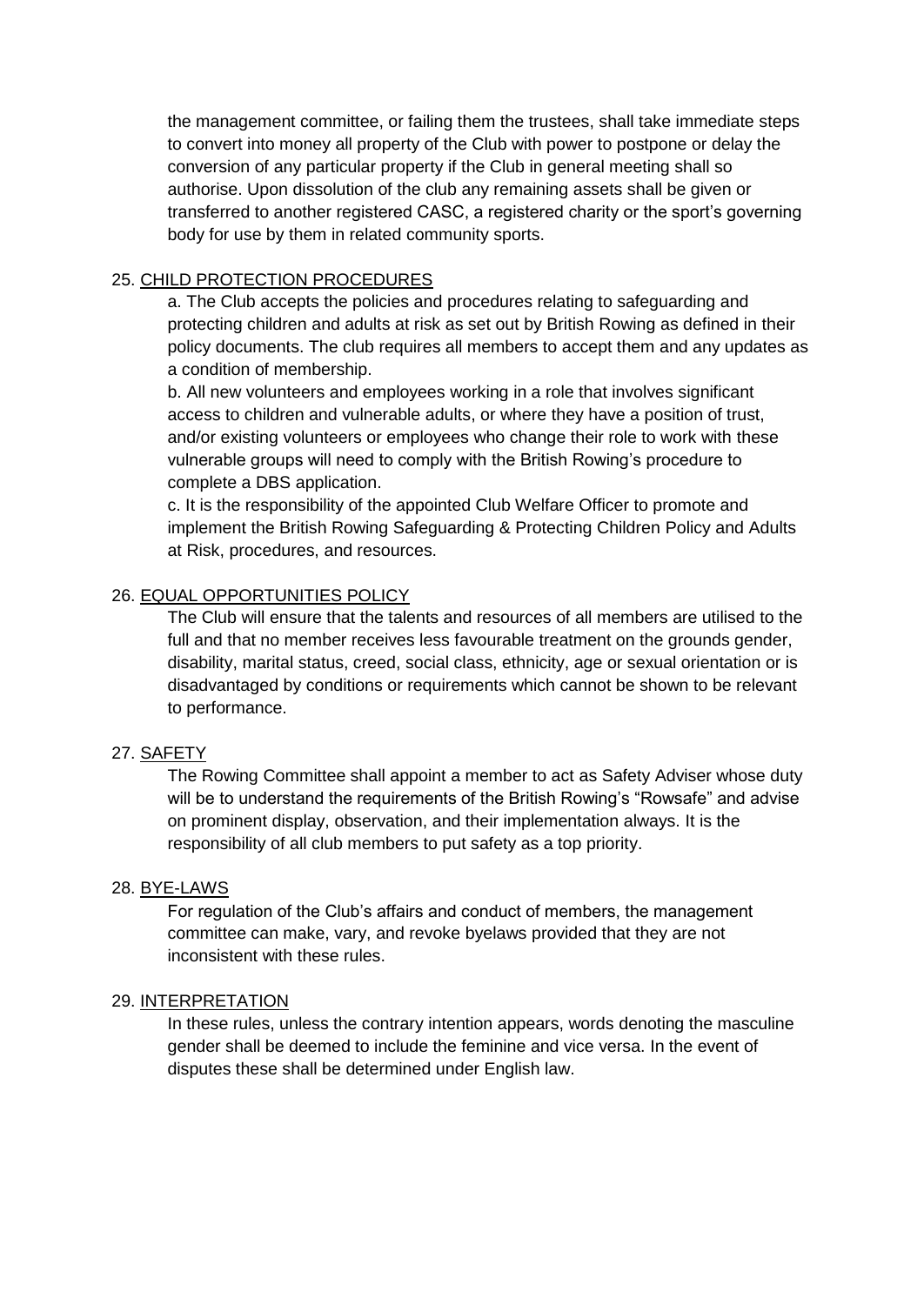the management committee, or failing them the trustees, shall take immediate steps to convert into money all property of the Club with power to postpone or delay the conversion of any particular property if the Club in general meeting shall so authorise. Upon dissolution of the club any remaining assets shall be given or transferred to another registered CASC, a registered charity or the sport's governing body for use by them in related community sports.

## 25. CHILD PROTECTION PROCEDURES

a. The Club accepts the policies and procedures relating to safeguarding and protecting children and adults at risk as set out by British Rowing as defined in their policy documents. The club requires all members to accept them and any updates as a condition of membership.

b. All new volunteers and employees working in a role that involves significant access to children and vulnerable adults, or where they have a position of trust, and/or existing volunteers or employees who change their role to work with these vulnerable groups will need to comply with the British Rowing's procedure to complete a DBS application.

c. It is the responsibility of the appointed Club Welfare Officer to promote and implement the British Rowing Safeguarding & Protecting Children Policy and Adults at Risk, procedures, and resources.

## 26. EQUAL OPPORTUNITIES POLICY

The Club will ensure that the talents and resources of all members are utilised to the full and that no member receives less favourable treatment on the grounds gender, disability, marital status, creed, social class, ethnicity, age or sexual orientation or is disadvantaged by conditions or requirements which cannot be shown to be relevant to performance.

### 27. SAFETY

The Rowing Committee shall appoint a member to act as Safety Adviser whose duty will be to understand the requirements of the British Rowing's "Rowsafe" and advise on prominent display, observation, and their implementation always. It is the responsibility of all club members to put safety as a top priority.

### 28. BYE-LAWS

For regulation of the Club's affairs and conduct of members, the management committee can make, vary, and revoke byelaws provided that they are not inconsistent with these rules.

### 29. INTERPRETATION

In these rules, unless the contrary intention appears, words denoting the masculine gender shall be deemed to include the feminine and vice versa. In the event of disputes these shall be determined under English law.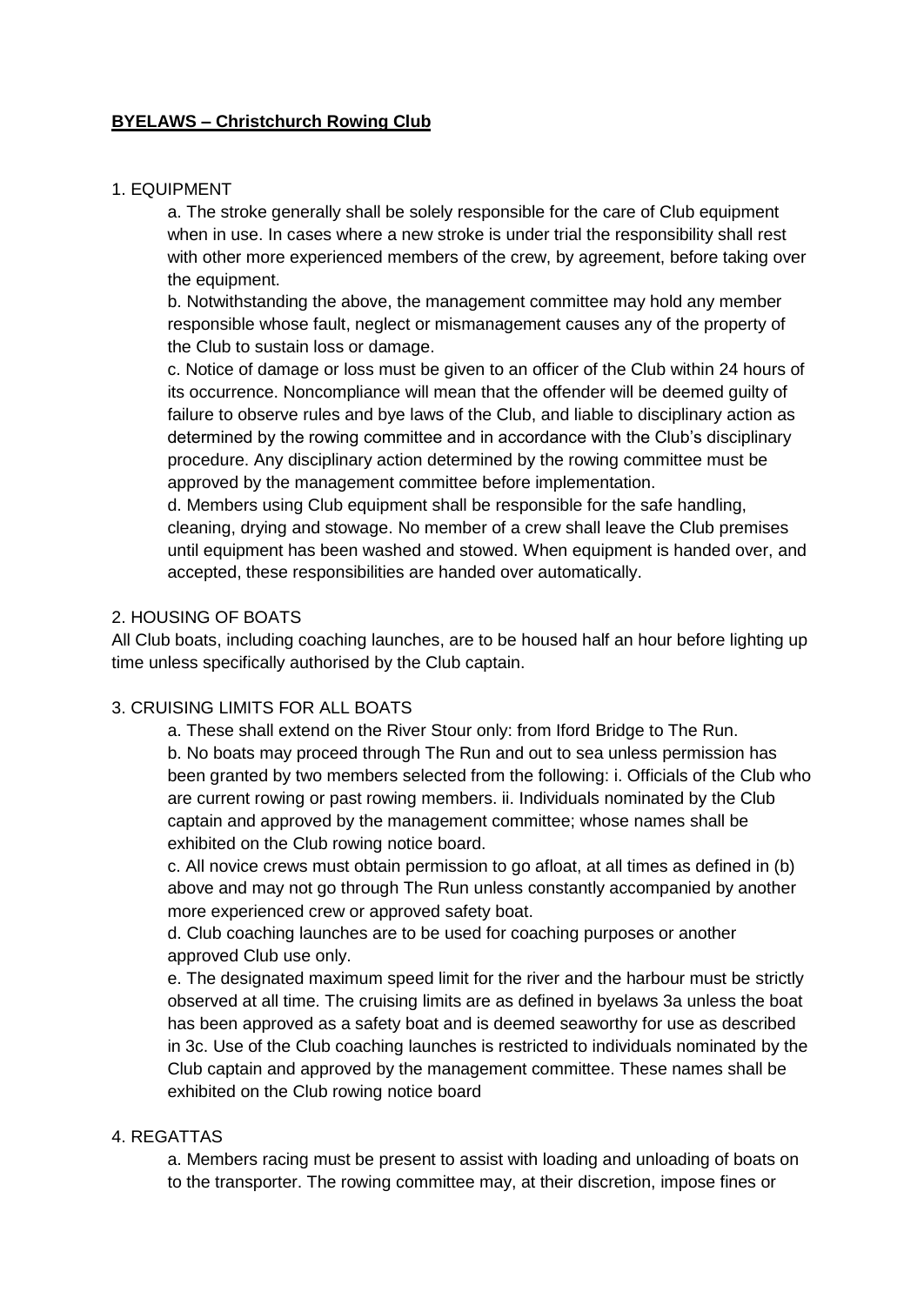# **BYELAWS – Christchurch Rowing Club**

### 1. EQUIPMENT

a. The stroke generally shall be solely responsible for the care of Club equipment when in use. In cases where a new stroke is under trial the responsibility shall rest with other more experienced members of the crew, by agreement, before taking over the equipment.

b. Notwithstanding the above, the management committee may hold any member responsible whose fault, neglect or mismanagement causes any of the property of the Club to sustain loss or damage.

c. Notice of damage or loss must be given to an officer of the Club within 24 hours of its occurrence. Noncompliance will mean that the offender will be deemed guilty of failure to observe rules and bye laws of the Club, and liable to disciplinary action as determined by the rowing committee and in accordance with the Club's disciplinary procedure. Any disciplinary action determined by the rowing committee must be approved by the management committee before implementation.

d. Members using Club equipment shall be responsible for the safe handling, cleaning, drying and stowage. No member of a crew shall leave the Club premises until equipment has been washed and stowed. When equipment is handed over, and accepted, these responsibilities are handed over automatically.

### 2. HOUSING OF BOATS

All Club boats, including coaching launches, are to be housed half an hour before lighting up time unless specifically authorised by the Club captain.

## 3. CRUISING LIMITS FOR ALL BOATS

a. These shall extend on the River Stour only: from Iford Bridge to The Run. b. No boats may proceed through The Run and out to sea unless permission has been granted by two members selected from the following: i. Officials of the Club who are current rowing or past rowing members. ii. Individuals nominated by the Club captain and approved by the management committee; whose names shall be exhibited on the Club rowing notice board.

c. All novice crews must obtain permission to go afloat, at all times as defined in (b) above and may not go through The Run unless constantly accompanied by another more experienced crew or approved safety boat.

d. Club coaching launches are to be used for coaching purposes or another approved Club use only.

e. The designated maximum speed limit for the river and the harbour must be strictly observed at all time. The cruising limits are as defined in byelaws 3a unless the boat has been approved as a safety boat and is deemed seaworthy for use as described in 3c. Use of the Club coaching launches is restricted to individuals nominated by the Club captain and approved by the management committee. These names shall be exhibited on the Club rowing notice board

### 4. REGATTAS

a. Members racing must be present to assist with loading and unloading of boats on to the transporter. The rowing committee may, at their discretion, impose fines or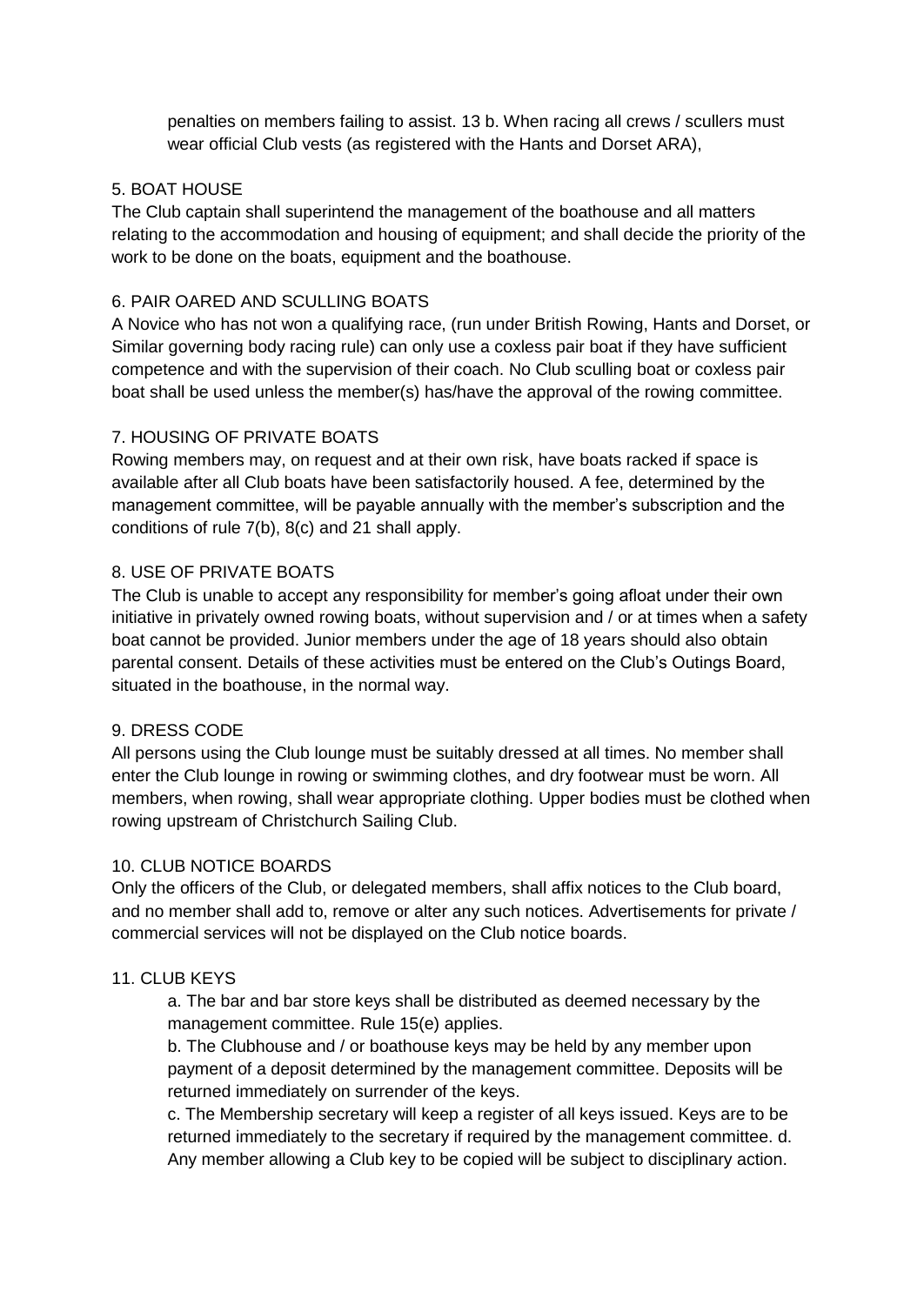penalties on members failing to assist. 13 b. When racing all crews / scullers must wear official Club vests (as registered with the Hants and Dorset ARA),

# 5. BOAT HOUSE

The Club captain shall superintend the management of the boathouse and all matters relating to the accommodation and housing of equipment; and shall decide the priority of the work to be done on the boats, equipment and the boathouse.

# 6. PAIR OARED AND SCULLING BOATS

A Novice who has not won a qualifying race, (run under British Rowing, Hants and Dorset, or Similar governing body racing rule) can only use a coxless pair boat if they have sufficient competence and with the supervision of their coach. No Club sculling boat or coxless pair boat shall be used unless the member(s) has/have the approval of the rowing committee.

## 7. HOUSING OF PRIVATE BOATS

Rowing members may, on request and at their own risk, have boats racked if space is available after all Club boats have been satisfactorily housed. A fee, determined by the management committee, will be payable annually with the member's subscription and the conditions of rule 7(b), 8(c) and 21 shall apply.

## 8. USE OF PRIVATE BOATS

The Club is unable to accept any responsibility for member's going afloat under their own initiative in privately owned rowing boats, without supervision and / or at times when a safety boat cannot be provided. Junior members under the age of 18 years should also obtain parental consent. Details of these activities must be entered on the Club's Outings Board, situated in the boathouse, in the normal way.

### 9. DRESS CODE

All persons using the Club lounge must be suitably dressed at all times. No member shall enter the Club lounge in rowing or swimming clothes, and dry footwear must be worn. All members, when rowing, shall wear appropriate clothing. Upper bodies must be clothed when rowing upstream of Christchurch Sailing Club.

### 10. CLUB NOTICE BOARDS

Only the officers of the Club, or delegated members, shall affix notices to the Club board, and no member shall add to, remove or alter any such notices. Advertisements for private / commercial services will not be displayed on the Club notice boards.

### 11. CLUB KEYS

a. The bar and bar store keys shall be distributed as deemed necessary by the management committee. Rule 15(e) applies.

b. The Clubhouse and / or boathouse keys may be held by any member upon payment of a deposit determined by the management committee. Deposits will be returned immediately on surrender of the keys.

c. The Membership secretary will keep a register of all keys issued. Keys are to be returned immediately to the secretary if required by the management committee. d. Any member allowing a Club key to be copied will be subject to disciplinary action.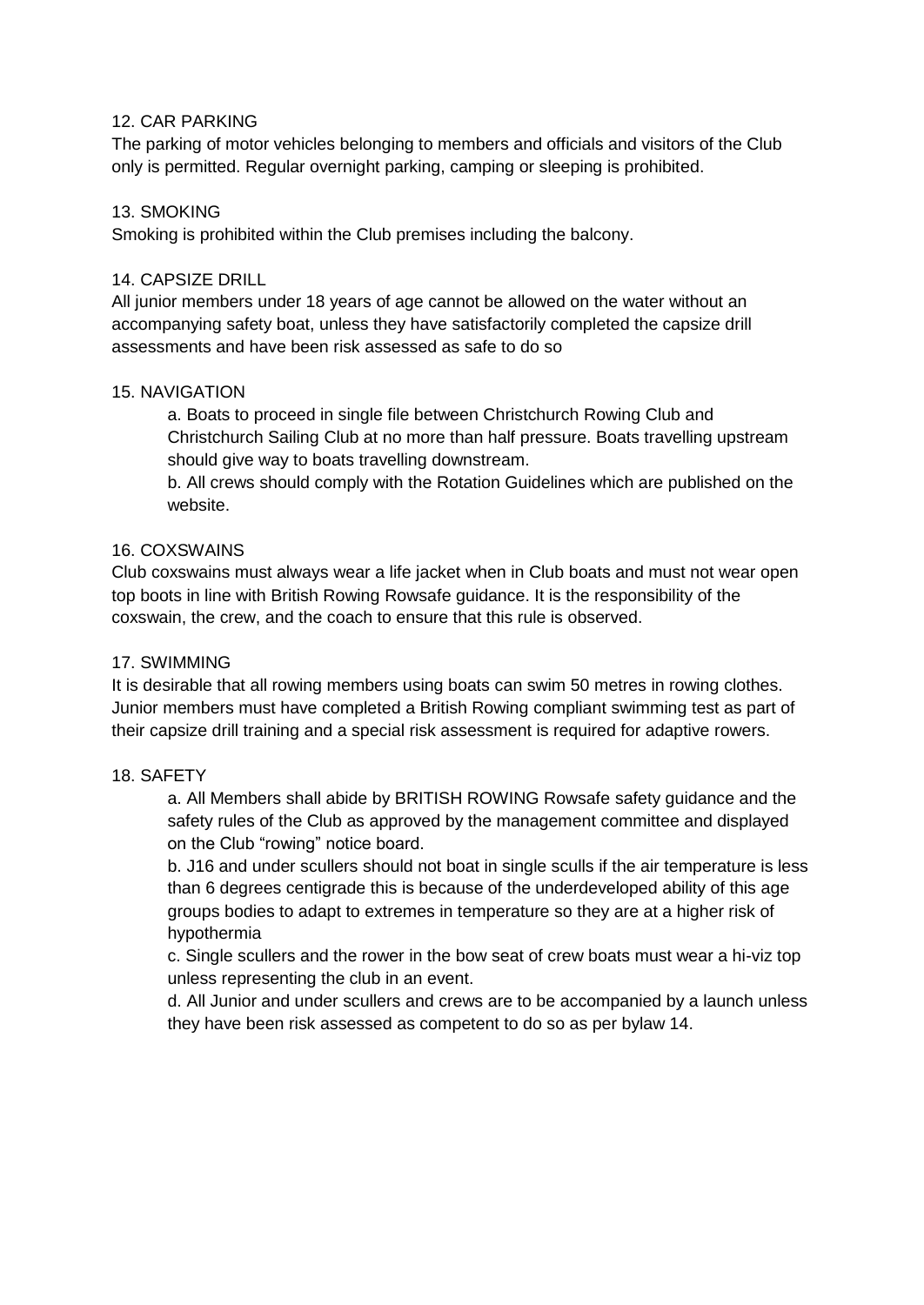### 12. CAR PARKING

The parking of motor vehicles belonging to members and officials and visitors of the Club only is permitted. Regular overnight parking, camping or sleeping is prohibited.

### 13. SMOKING

Smoking is prohibited within the Club premises including the balcony.

### 14. CAPSIZE DRILL

All junior members under 18 years of age cannot be allowed on the water without an accompanying safety boat, unless they have satisfactorily completed the capsize drill assessments and have been risk assessed as safe to do so

### 15. NAVIGATION

a. Boats to proceed in single file between Christchurch Rowing Club and Christchurch Sailing Club at no more than half pressure. Boats travelling upstream should give way to boats travelling downstream.

b. All crews should comply with the Rotation Guidelines which are published on the website.

### 16. COXSWAINS

Club coxswains must always wear a life jacket when in Club boats and must not wear open top boots in line with British Rowing Rowsafe guidance. It is the responsibility of the coxswain, the crew, and the coach to ensure that this rule is observed.

### 17. SWIMMING

It is desirable that all rowing members using boats can swim 50 metres in rowing clothes. Junior members must have completed a British Rowing compliant swimming test as part of their capsize drill training and a special risk assessment is required for adaptive rowers.

#### 18. SAFETY

a. All Members shall abide by BRITISH ROWING Rowsafe safety guidance and the safety rules of the Club as approved by the management committee and displayed on the Club "rowing" notice board.

b. J16 and under scullers should not boat in single sculls if the air temperature is less than 6 degrees centigrade this is because of the underdeveloped ability of this age groups bodies to adapt to extremes in temperature so they are at a higher risk of hypothermia

c. Single scullers and the rower in the bow seat of crew boats must wear a hi-viz top unless representing the club in an event.

d. All Junior and under scullers and crews are to be accompanied by a launch unless they have been risk assessed as competent to do so as per bylaw 14.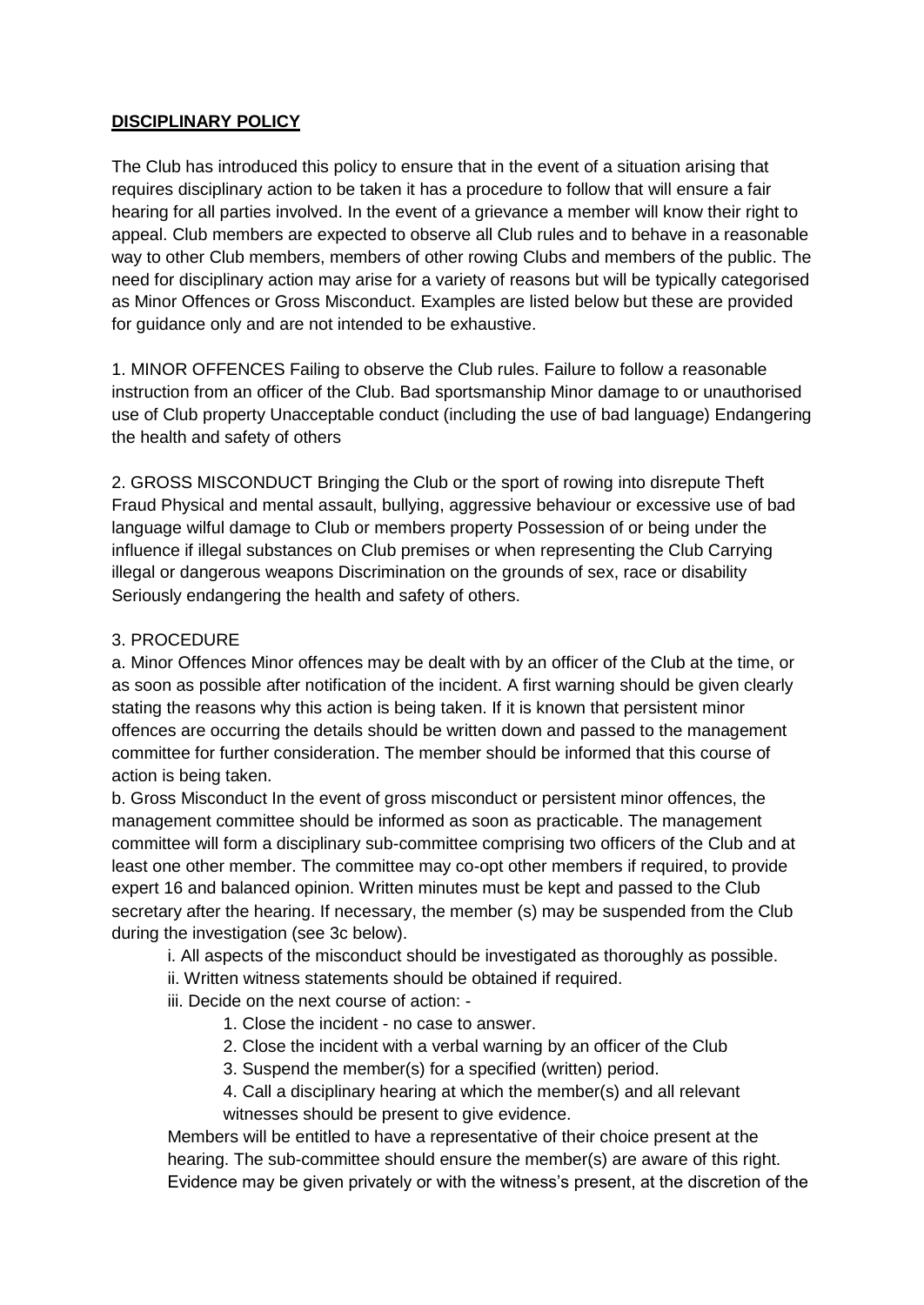# **DISCIPLINARY POLICY**

The Club has introduced this policy to ensure that in the event of a situation arising that requires disciplinary action to be taken it has a procedure to follow that will ensure a fair hearing for all parties involved. In the event of a grievance a member will know their right to appeal. Club members are expected to observe all Club rules and to behave in a reasonable way to other Club members, members of other rowing Clubs and members of the public. The need for disciplinary action may arise for a variety of reasons but will be typically categorised as Minor Offences or Gross Misconduct. Examples are listed below but these are provided for guidance only and are not intended to be exhaustive.

1. MINOR OFFENCES Failing to observe the Club rules. Failure to follow a reasonable instruction from an officer of the Club. Bad sportsmanship Minor damage to or unauthorised use of Club property Unacceptable conduct (including the use of bad language) Endangering the health and safety of others

2. GROSS MISCONDUCT Bringing the Club or the sport of rowing into disrepute Theft Fraud Physical and mental assault, bullying, aggressive behaviour or excessive use of bad language wilful damage to Club or members property Possession of or being under the influence if illegal substances on Club premises or when representing the Club Carrying illegal or dangerous weapons Discrimination on the grounds of sex, race or disability Seriously endangering the health and safety of others.

## 3. PROCEDURE

a. Minor Offences Minor offences may be dealt with by an officer of the Club at the time, or as soon as possible after notification of the incident. A first warning should be given clearly stating the reasons why this action is being taken. If it is known that persistent minor offences are occurring the details should be written down and passed to the management committee for further consideration. The member should be informed that this course of action is being taken.

b. Gross Misconduct In the event of gross misconduct or persistent minor offences, the management committee should be informed as soon as practicable. The management committee will form a disciplinary sub-committee comprising two officers of the Club and at least one other member. The committee may co-opt other members if required, to provide expert 16 and balanced opinion. Written minutes must be kept and passed to the Club secretary after the hearing. If necessary, the member (s) may be suspended from the Club during the investigation (see 3c below).

- i. All aspects of the misconduct should be investigated as thoroughly as possible.
- ii. Written witness statements should be obtained if required.
- iii. Decide on the next course of action:
	- 1. Close the incident no case to answer.
	- 2. Close the incident with a verbal warning by an officer of the Club
	- 3. Suspend the member(s) for a specified (written) period.
	- 4. Call a disciplinary hearing at which the member(s) and all relevant

witnesses should be present to give evidence.

Members will be entitled to have a representative of their choice present at the hearing. The sub-committee should ensure the member(s) are aware of this right. Evidence may be given privately or with the witness's present, at the discretion of the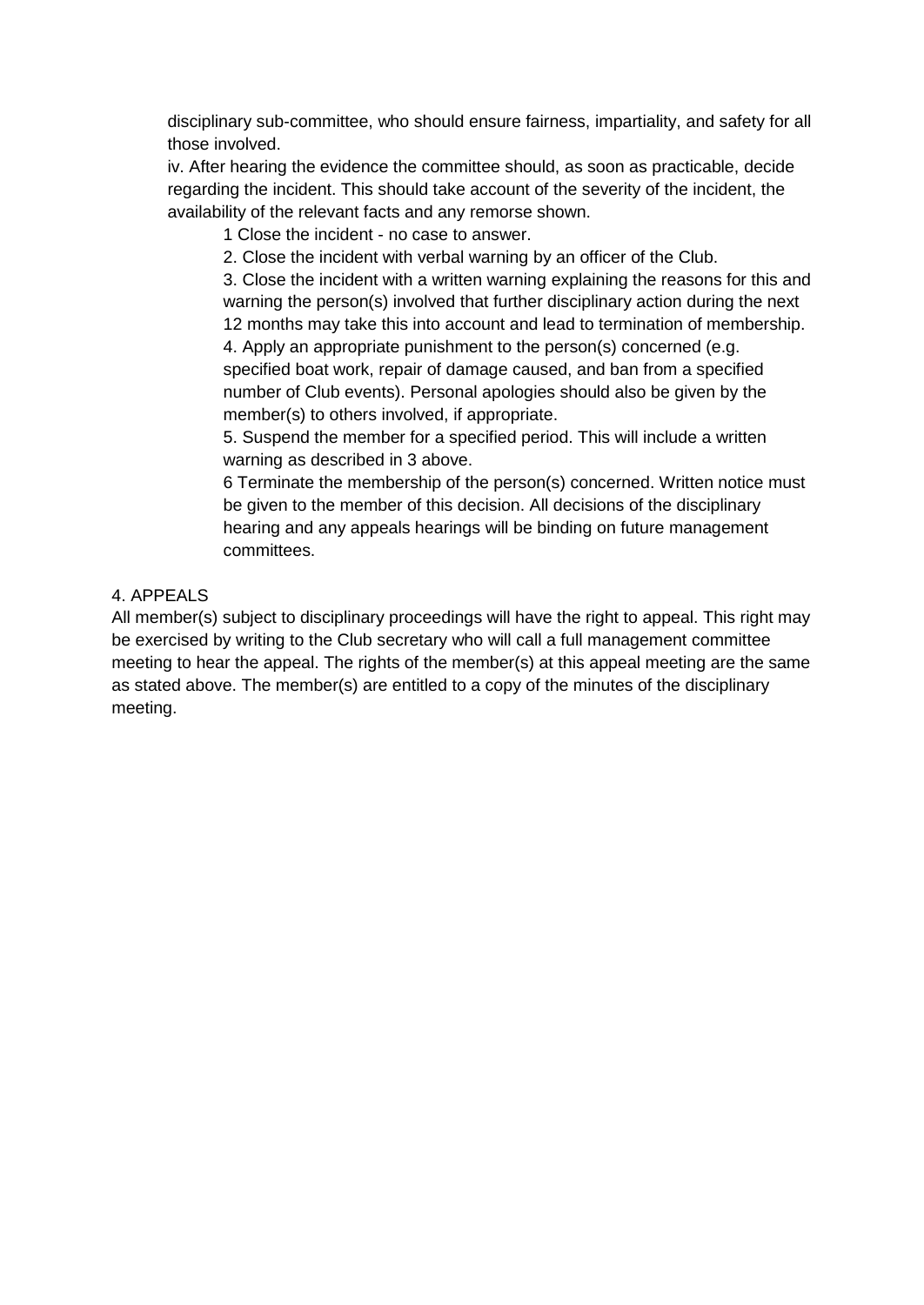disciplinary sub-committee, who should ensure fairness, impartiality, and safety for all those involved.

iv. After hearing the evidence the committee should, as soon as practicable, decide regarding the incident. This should take account of the severity of the incident, the availability of the relevant facts and any remorse shown.

1 Close the incident - no case to answer.

2. Close the incident with verbal warning by an officer of the Club.

3. Close the incident with a written warning explaining the reasons for this and warning the person(s) involved that further disciplinary action during the next 12 months may take this into account and lead to termination of membership.

4. Apply an appropriate punishment to the person(s) concerned (e.g. specified boat work, repair of damage caused, and ban from a specified number of Club events). Personal apologies should also be given by the member(s) to others involved, if appropriate.

5. Suspend the member for a specified period. This will include a written warning as described in 3 above.

6 Terminate the membership of the person(s) concerned. Written notice must be given to the member of this decision. All decisions of the disciplinary hearing and any appeals hearings will be binding on future management committees.

## 4. APPEALS

All member(s) subject to disciplinary proceedings will have the right to appeal. This right may be exercised by writing to the Club secretary who will call a full management committee meeting to hear the appeal. The rights of the member(s) at this appeal meeting are the same as stated above. The member(s) are entitled to a copy of the minutes of the disciplinary meeting.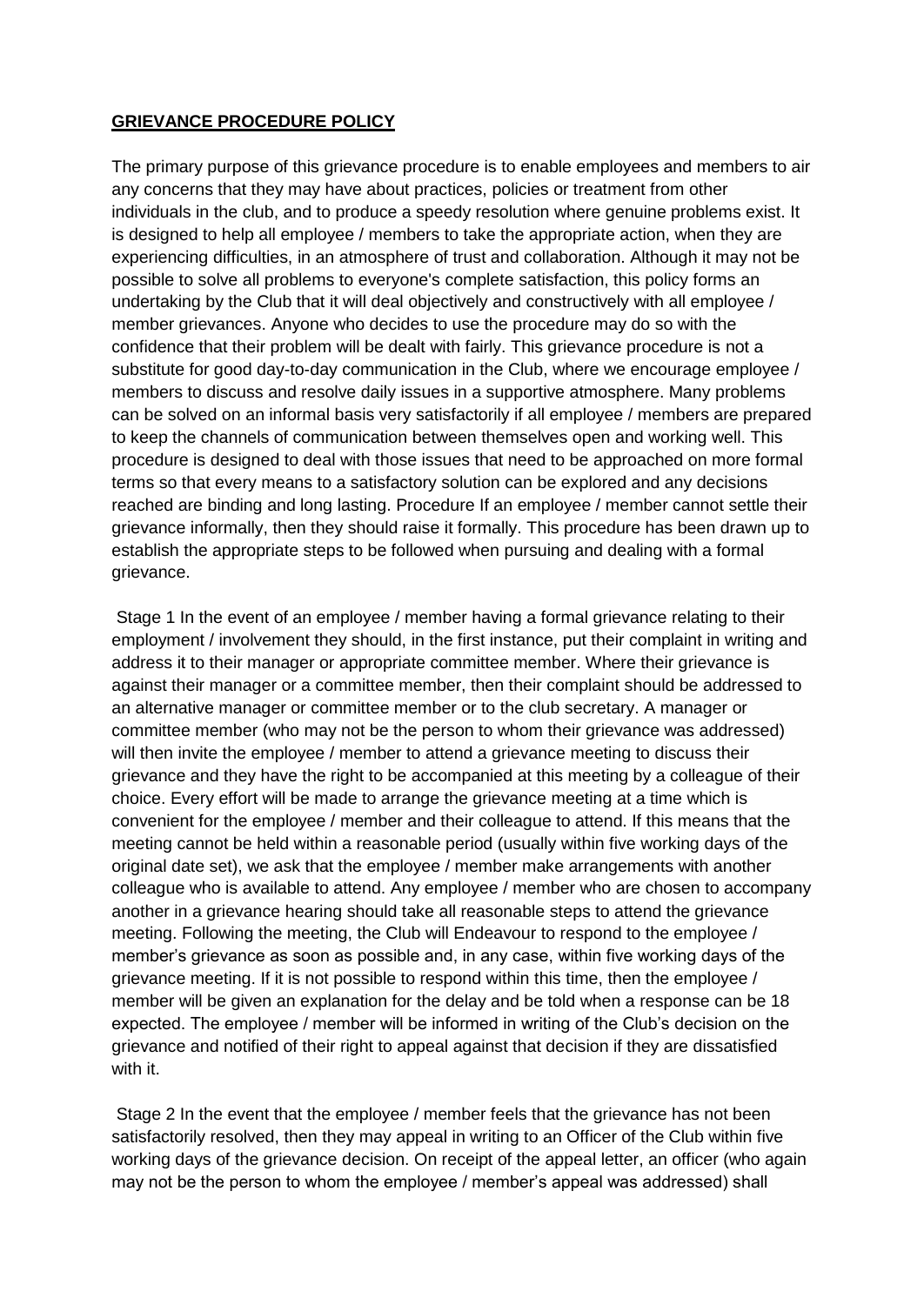## **GRIEVANCE PROCEDURE POLICY**

The primary purpose of this grievance procedure is to enable employees and members to air any concerns that they may have about practices, policies or treatment from other individuals in the club, and to produce a speedy resolution where genuine problems exist. It is designed to help all employee / members to take the appropriate action, when they are experiencing difficulties, in an atmosphere of trust and collaboration. Although it may not be possible to solve all problems to everyone's complete satisfaction, this policy forms an undertaking by the Club that it will deal objectively and constructively with all employee / member grievances. Anyone who decides to use the procedure may do so with the confidence that their problem will be dealt with fairly. This grievance procedure is not a substitute for good day-to-day communication in the Club, where we encourage employee / members to discuss and resolve daily issues in a supportive atmosphere. Many problems can be solved on an informal basis very satisfactorily if all employee / members are prepared to keep the channels of communication between themselves open and working well. This procedure is designed to deal with those issues that need to be approached on more formal terms so that every means to a satisfactory solution can be explored and any decisions reached are binding and long lasting. Procedure If an employee / member cannot settle their grievance informally, then they should raise it formally. This procedure has been drawn up to establish the appropriate steps to be followed when pursuing and dealing with a formal grievance.

Stage 1 In the event of an employee / member having a formal grievance relating to their employment / involvement they should, in the first instance, put their complaint in writing and address it to their manager or appropriate committee member. Where their grievance is against their manager or a committee member, then their complaint should be addressed to an alternative manager or committee member or to the club secretary. A manager or committee member (who may not be the person to whom their grievance was addressed) will then invite the employee / member to attend a grievance meeting to discuss their grievance and they have the right to be accompanied at this meeting by a colleague of their choice. Every effort will be made to arrange the grievance meeting at a time which is convenient for the employee / member and their colleague to attend. If this means that the meeting cannot be held within a reasonable period (usually within five working days of the original date set), we ask that the employee / member make arrangements with another colleague who is available to attend. Any employee / member who are chosen to accompany another in a grievance hearing should take all reasonable steps to attend the grievance meeting. Following the meeting, the Club will Endeavour to respond to the employee / member's grievance as soon as possible and, in any case, within five working days of the grievance meeting. If it is not possible to respond within this time, then the employee / member will be given an explanation for the delay and be told when a response can be 18 expected. The employee / member will be informed in writing of the Club's decision on the grievance and notified of their right to appeal against that decision if they are dissatisfied with it.

Stage 2 In the event that the employee / member feels that the grievance has not been satisfactorily resolved, then they may appeal in writing to an Officer of the Club within five working days of the grievance decision. On receipt of the appeal letter, an officer (who again may not be the person to whom the employee / member's appeal was addressed) shall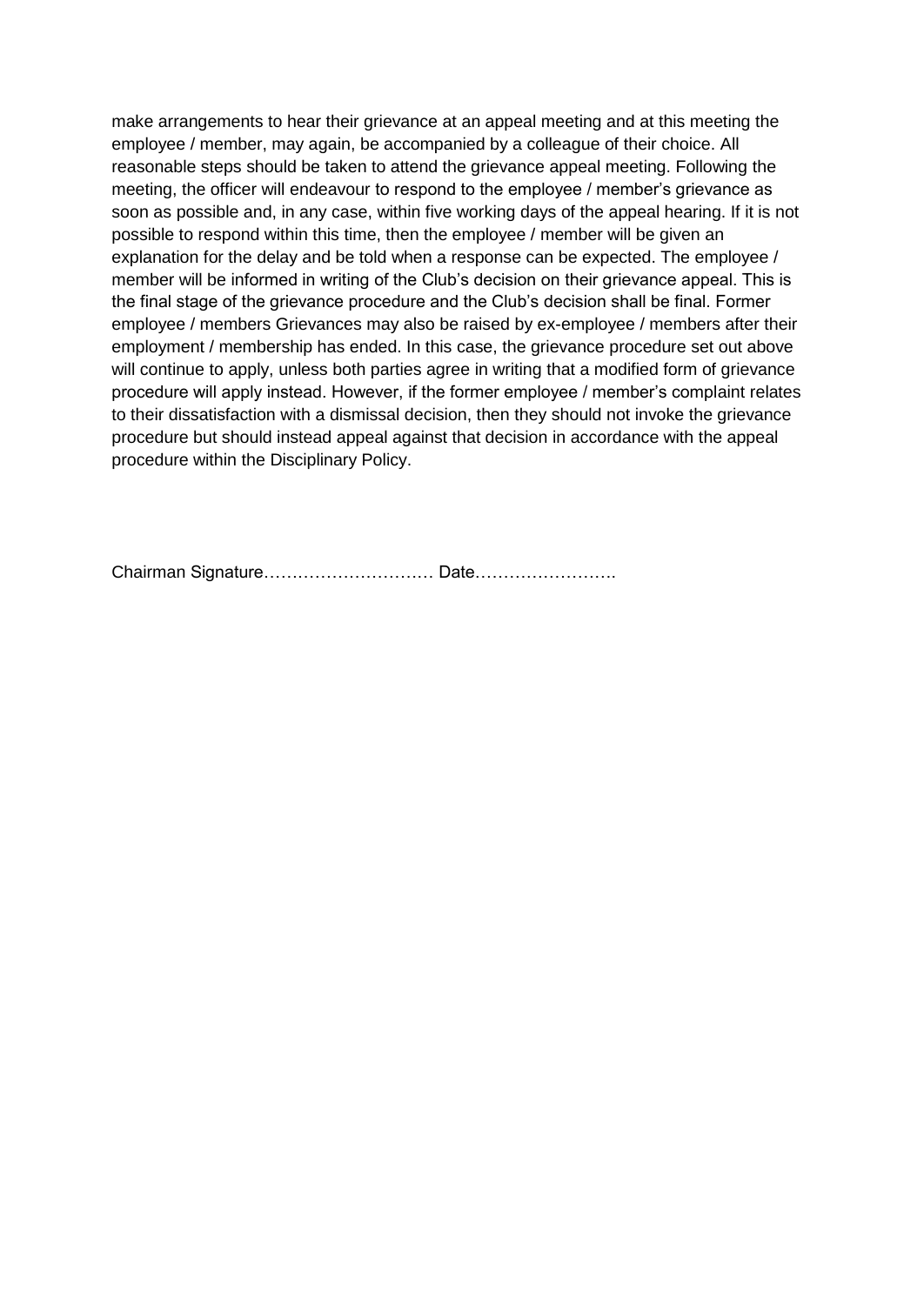make arrangements to hear their grievance at an appeal meeting and at this meeting the employee / member, may again, be accompanied by a colleague of their choice. All reasonable steps should be taken to attend the grievance appeal meeting. Following the meeting, the officer will endeavour to respond to the employee / member's grievance as soon as possible and, in any case, within five working days of the appeal hearing. If it is not possible to respond within this time, then the employee / member will be given an explanation for the delay and be told when a response can be expected. The employee / member will be informed in writing of the Club's decision on their grievance appeal. This is the final stage of the grievance procedure and the Club's decision shall be final. Former employee / members Grievances may also be raised by ex-employee / members after their employment / membership has ended. In this case, the grievance procedure set out above will continue to apply, unless both parties agree in writing that a modified form of grievance procedure will apply instead. However, if the former employee / member's complaint relates to their dissatisfaction with a dismissal decision, then they should not invoke the grievance procedure but should instead appeal against that decision in accordance with the appeal procedure within the Disciplinary Policy.

Chairman Signature………………………… Date…………………….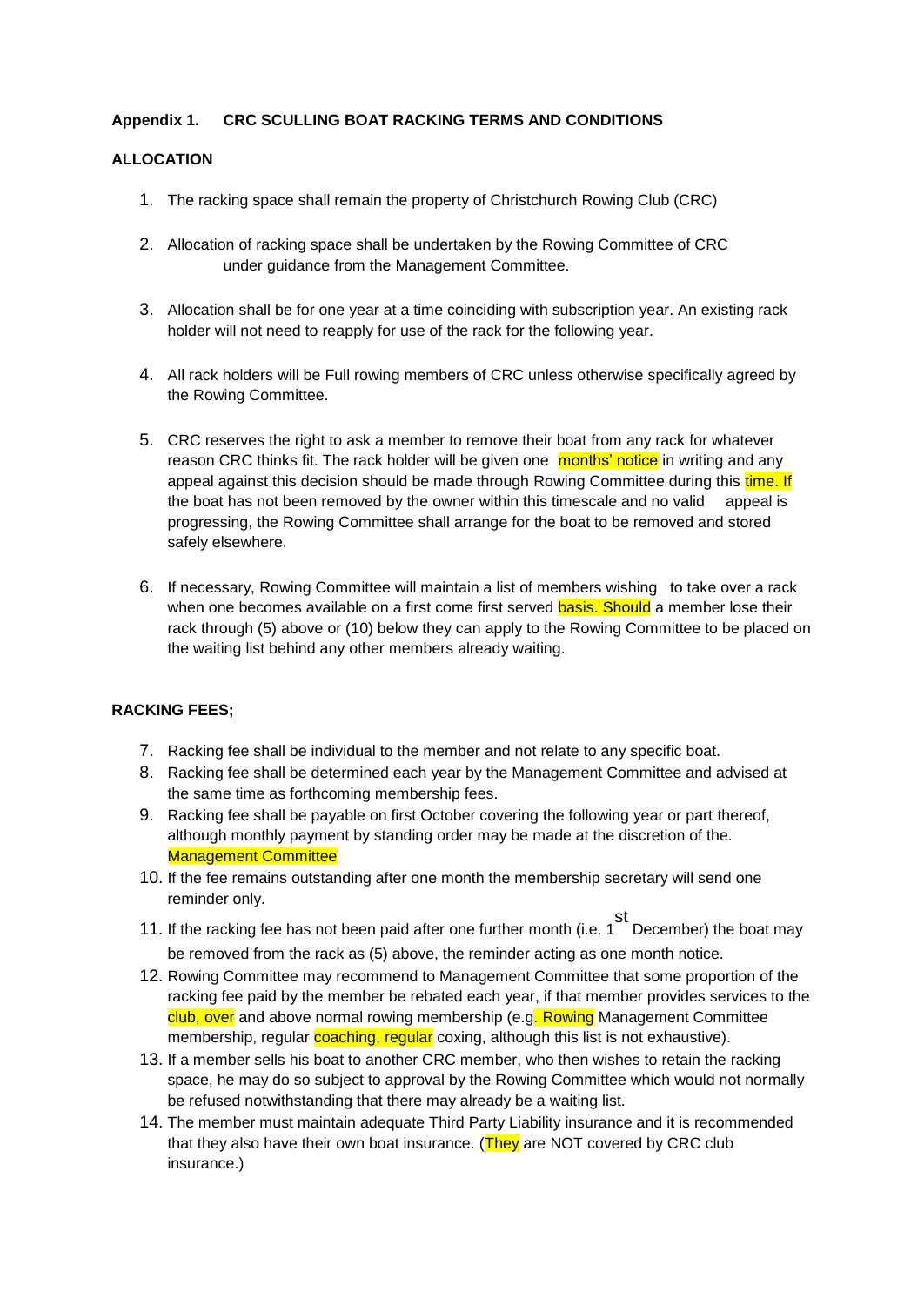### **Appendix 1. CRC SCULLING BOAT RACKING TERMS AND CONDITIONS**

#### **ALLOCATION**

- 1. The racking space shall remain the property of Christchurch Rowing Club (CRC)
- 2. Allocation of racking space shall be undertaken by the Rowing Committee of CRC under guidance from the Management Committee.
- 3. Allocation shall be for one year at a time coinciding with subscription year. An existing rack holder will not need to reapply for use of the rack for the following year.
- 4. All rack holders will be Full rowing members of CRC unless otherwise specifically agreed by the Rowing Committee.
- 5. CRC reserves the right to ask a member to remove their boat from any rack for whatever reason CRC thinks fit. The rack holder will be given one months' notice in writing and any appeal against this decision should be made through Rowing Committee during this time. If the boat has not been removed by the owner within this timescale and no valid appeal is progressing, the Rowing Committee shall arrange for the boat to be removed and stored safely elsewhere.
- 6. If necessary, Rowing Committee will maintain a list of members wishing to take over a rack when one becomes available on a first come first served **basis. Should** a member lose their rack through (5) above or (10) below they can apply to the Rowing Committee to be placed on the waiting list behind any other members already waiting.

### **RACKING FEES;**

- 7. Racking fee shall be individual to the member and not relate to any specific boat.
- 8. Racking fee shall be determined each year by the Management Committee and advised at the same time as forthcoming membership fees.
- 9. Racking fee shall be payable on first October covering the following year or part thereof, although monthly payment by standing order may be made at the discretion of the. Management Committee
- 10. If the fee remains outstanding after one month the membership secretary will send one reminder only.
- 11. If the racking fee has not been paid after one further month (i.e. 1 st December) the boat may be removed from the rack as (5) above, the reminder acting as one month notice.
- 12. Rowing Committee may recommend to Management Committee that some proportion of the racking fee paid by the member be rebated each year, if that member provides services to the club, over and above normal rowing membership (e.g. Rowing Management Committee membership, regular coaching, regular coxing, although this list is not exhaustive).
- 13. If a member sells his boat to another CRC member, who then wishes to retain the racking space, he may do so subject to approval by the Rowing Committee which would not normally be refused notwithstanding that there may already be a waiting list.
- 14. The member must maintain adequate Third Party Liability insurance and it is recommended that they also have their own boat insurance. (They are NOT covered by CRC club insurance.)